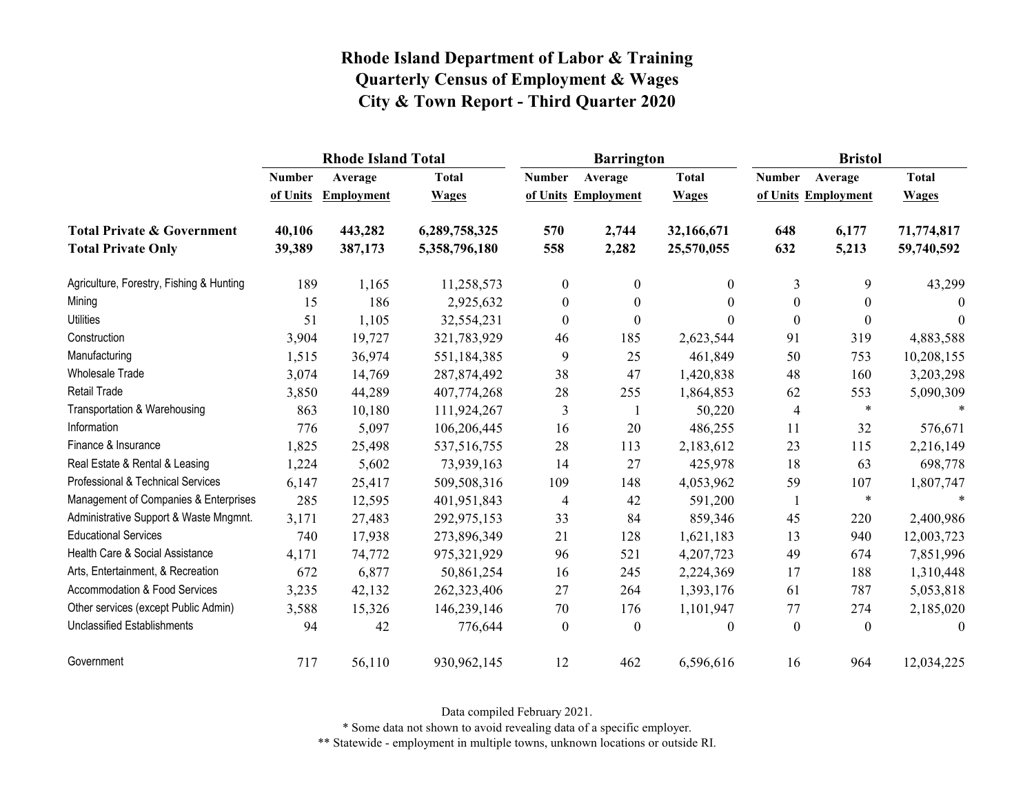|                                          |               | <b>Rhode Island Total</b> |               |                  | <b>Barrington</b>   |              | <b>Bristol</b>   |                     |              |
|------------------------------------------|---------------|---------------------------|---------------|------------------|---------------------|--------------|------------------|---------------------|--------------|
|                                          | <b>Number</b> | Average                   | <b>Total</b>  | <b>Number</b>    | Average             | <b>Total</b> | <b>Number</b>    | Average             | <b>Total</b> |
|                                          | of Units      | <b>Employment</b>         | <b>Wages</b>  |                  | of Units Employment | <b>Wages</b> |                  | of Units Employment | <b>Wages</b> |
| <b>Total Private &amp; Government</b>    | 40,106        | 443,282                   | 6,289,758,325 | 570              | 2,744               | 32,166,671   | 648              | 6,177               | 71,774,817   |
| <b>Total Private Only</b>                | 39,389        | 387,173                   | 5,358,796,180 | 558              | 2,282               | 25,570,055   | 632              | 5,213               | 59,740,592   |
| Agriculture, Forestry, Fishing & Hunting | 189           | 1,165                     | 11,258,573    | $\mathbf{0}$     | $\overline{0}$      | $\theta$     | 3                | 9                   | 43,299       |
| Mining                                   | 15            | 186                       | 2,925,632     | $\boldsymbol{0}$ | $\boldsymbol{0}$    | $\theta$     | $\boldsymbol{0}$ | $\boldsymbol{0}$    | $\theta$     |
| <b>Utilities</b>                         | 51            | 1,105                     | 32,554,231    | $\mathbf{0}$     | $\boldsymbol{0}$    | 0            | $\boldsymbol{0}$ | $\boldsymbol{0}$    | $\theta$     |
| Construction                             | 3,904         | 19,727                    | 321,783,929   | 46               | 185                 | 2,623,544    | 91               | 319                 | 4,883,588    |
| Manufacturing                            | 1,515         | 36,974                    | 551,184,385   | 9                | 25                  | 461,849      | 50               | 753                 | 10,208,155   |
| Wholesale Trade                          | 3,074         | 14,769                    | 287, 874, 492 | 38               | 47                  | 1,420,838    | 48               | 160                 | 3,203,298    |
| Retail Trade                             | 3,850         | 44,289                    | 407,774,268   | 28               | 255                 | 1,864,853    | 62               | 553                 | 5,090,309    |
| Transportation & Warehousing             | 863           | 10,180                    | 111,924,267   | 3                | -1                  | 50,220       | $\overline{4}$   | $\ast$              | $\mathbf{A}$ |
| Information                              | 776           | 5,097                     | 106,206,445   | 16               | 20                  | 486,255      | 11               | 32                  | 576,671      |
| Finance & Insurance                      | 1,825         | 25,498                    | 537,516,755   | 28               | 113                 | 2,183,612    | 23               | 115                 | 2,216,149    |
| Real Estate & Rental & Leasing           | 1,224         | 5,602                     | 73,939,163    | 14               | 27                  | 425,978      | 18               | 63                  | 698,778      |
| Professional & Technical Services        | 6,147         | 25,417                    | 509,508,316   | 109              | 148                 | 4,053,962    | 59               | 107                 | 1,807,747    |
| Management of Companies & Enterprises    | 285           | 12,595                    | 401,951,843   | $\overline{4}$   | 42                  | 591,200      | 1                | $\ast$              | $\ast$       |
| Administrative Support & Waste Mngmnt.   | 3,171         | 27,483                    | 292,975,153   | 33               | 84                  | 859,346      | 45               | 220                 | 2,400,986    |
| <b>Educational Services</b>              | 740           | 17,938                    | 273,896,349   | 21               | 128                 | 1,621,183    | 13               | 940                 | 12,003,723   |
| Health Care & Social Assistance          | 4,171         | 74,772                    | 975,321,929   | 96               | 521                 | 4,207,723    | 49               | 674                 | 7,851,996    |
| Arts, Entertainment, & Recreation        | 672           | 6,877                     | 50,861,254    | 16               | 245                 | 2,224,369    | 17               | 188                 | 1,310,448    |
| <b>Accommodation &amp; Food Services</b> | 3,235         | 42,132                    | 262,323,406   | 27               | 264                 | 1,393,176    | 61               | 787                 | 5,053,818    |
| Other services (except Public Admin)     | 3,588         | 15,326                    | 146,239,146   | 70               | 176                 | 1,101,947    | 77               | 274                 | 2,185,020    |
| <b>Unclassified Establishments</b>       | 94            | 42                        | 776,644       | $\mathbf{0}$     | $\boldsymbol{0}$    | $\theta$     | $\boldsymbol{0}$ | $\mathbf{0}$        | $\theta$     |
| Government                               | 717           | 56,110                    | 930,962,145   | 12               | 462                 | 6,596,616    | 16               | 964                 | 12,034,225   |

Data compiled February 2021.

\* Some data not shown to avoid revealing data of a specific employer.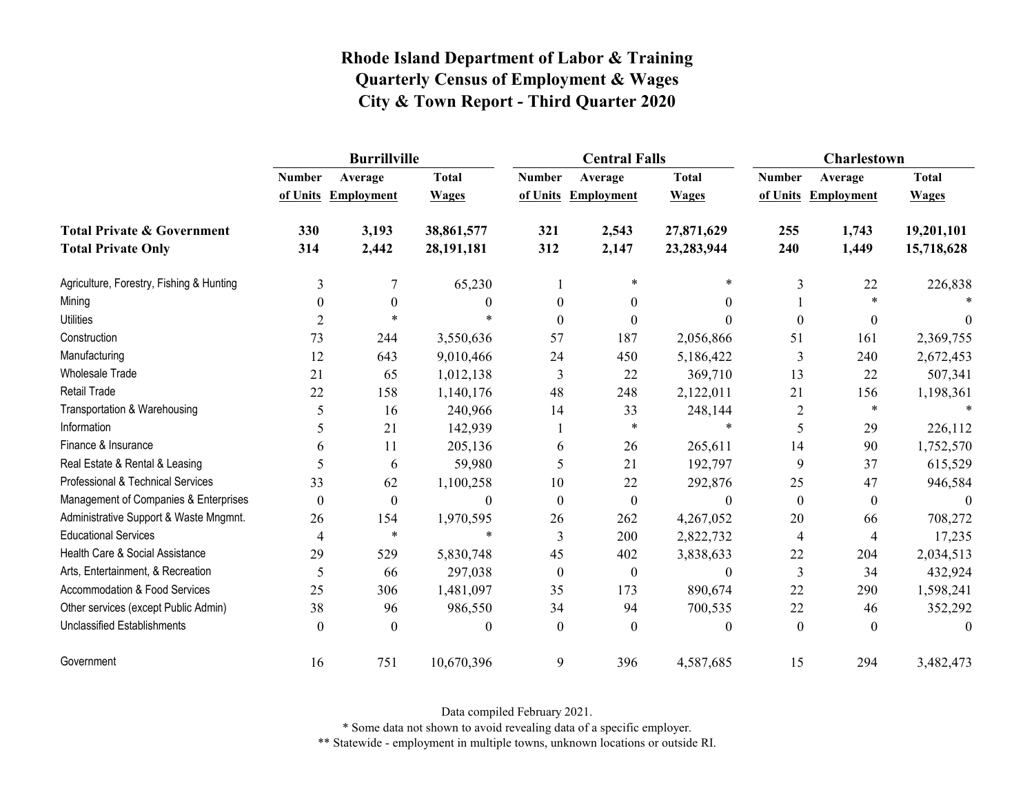|                                          | <b>Burrillville</b> |                                |                              |                  | <b>Central Falls</b>           |                              | Charlestown      |                                |                              |
|------------------------------------------|---------------------|--------------------------------|------------------------------|------------------|--------------------------------|------------------------------|------------------|--------------------------------|------------------------------|
|                                          | <b>Number</b>       | Average<br>of Units Employment | <b>Total</b><br><b>Wages</b> | <b>Number</b>    | Average<br>of Units Employment | <b>Total</b><br><b>Wages</b> | <b>Number</b>    | Average<br>of Units Employment | <b>Total</b><br><b>Wages</b> |
| <b>Total Private &amp; Government</b>    | 330                 | 3,193                          | 38,861,577                   | 321              | 2,543                          | 27,871,629                   | 255              | 1,743                          | 19,201,101                   |
| <b>Total Private Only</b>                | 314                 | 2,442                          | 28,191,181                   | 312              | 2,147                          | 23,283,944                   | 240              | 1,449                          | 15,718,628                   |
| Agriculture, Forestry, Fishing & Hunting | 3                   | 7                              | 65,230                       |                  | $\ast$                         | $\ast$                       | 3                | 22                             | 226,838                      |
| Mining                                   | $\mathbf{0}$        | $\mathbf{0}$                   | 0                            | $\theta$         | $\boldsymbol{0}$               | $\theta$                     |                  | $\ast$                         |                              |
| <b>Utilities</b>                         | $\overline{2}$      | $\ast$                         | $\ast$                       | $\Omega$         | $\theta$                       | $\Omega$                     | $\theta$         | $\theta$                       | $\theta$                     |
| Construction                             | 73                  | 244                            | 3,550,636                    | 57               | 187                            | 2,056,866                    | 51               | 161                            | 2,369,755                    |
| Manufacturing                            | 12                  | 643                            | 9,010,466                    | 24               | 450                            | 5,186,422                    | 3                | 240                            | 2,672,453                    |
| <b>Wholesale Trade</b>                   | 21                  | 65                             | 1,012,138                    | 3                | 22                             | 369,710                      | 13               | 22                             | 507,341                      |
| <b>Retail Trade</b>                      | 22                  | 158                            | 1,140,176                    | 48               | 248                            | 2,122,011                    | 21               | 156                            | 1,198,361                    |
| Transportation & Warehousing             | 5                   | 16                             | 240,966                      | 14               | 33                             | 248,144                      | $\overline{2}$   | $\ast$                         |                              |
| Information                              | 5                   | 21                             | 142,939                      |                  | $\ast$                         | $\ast$                       | 5                | 29                             | 226,112                      |
| Finance & Insurance                      | 6                   | 11                             | 205,136                      | 6                | 26                             | 265,611                      | 14               | 90                             | 1,752,570                    |
| Real Estate & Rental & Leasing           | 5                   | 6                              | 59,980                       | 5                | 21                             | 192,797                      | 9                | 37                             | 615,529                      |
| Professional & Technical Services        | 33                  | 62                             | 1,100,258                    | 10               | 22                             | 292,876                      | 25               | 47                             | 946,584                      |
| Management of Companies & Enterprises    | $\mathbf{0}$        | $\boldsymbol{0}$               | $\Omega$                     | $\theta$         | $\boldsymbol{0}$               | $\Omega$                     | $\boldsymbol{0}$ | $\boldsymbol{0}$               | $\Omega$                     |
| Administrative Support & Waste Mngmnt.   | 26                  | 154                            | 1,970,595                    | 26               | 262                            | 4,267,052                    | 20               | 66                             | 708,272                      |
| <b>Educational Services</b>              | 4                   | $\ast$                         | $\ast$                       | 3                | 200                            | 2,822,732                    | 4                | 4                              | 17,235                       |
| Health Care & Social Assistance          | 29                  | 529                            | 5,830,748                    | 45               | 402                            | 3,838,633                    | 22               | 204                            | 2,034,513                    |
| Arts, Entertainment, & Recreation        | 5                   | 66                             | 297,038                      | $\boldsymbol{0}$ | $\boldsymbol{0}$               | $\theta$                     | 3                | 34                             | 432,924                      |
| <b>Accommodation &amp; Food Services</b> | 25                  | 306                            | 1,481,097                    | 35               | 173                            | 890,674                      | 22               | 290                            | 1,598,241                    |
| Other services (except Public Admin)     | 38                  | 96                             | 986,550                      | 34               | 94                             | 700,535                      | 22               | 46                             | 352,292                      |
| <b>Unclassified Establishments</b>       | $\theta$            | $\theta$                       | 0                            | $\Omega$         | $\Omega$                       | $\theta$                     | $\boldsymbol{0}$ | $\theta$                       | $\Omega$                     |
| Government                               | 16                  | 751                            | 10,670,396                   | 9                | 396                            | 4,587,685                    | 15               | 294                            | 3,482,473                    |

Data compiled February 2021.

\* Some data not shown to avoid revealing data of a specific employer.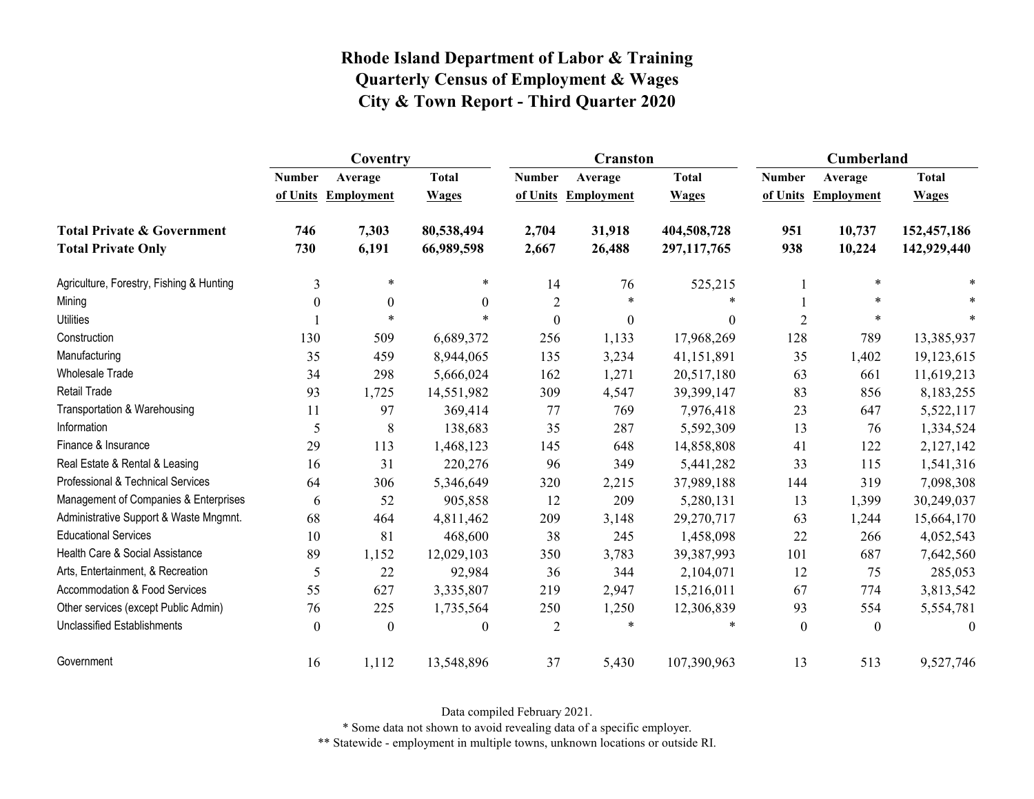|                                          | Coventry      |                     |              |                  | <b>Cranston</b>     |              | Cumberland     |                     |              |
|------------------------------------------|---------------|---------------------|--------------|------------------|---------------------|--------------|----------------|---------------------|--------------|
|                                          | <b>Number</b> | Average             | <b>Total</b> | <b>Number</b>    | Average             | <b>Total</b> | <b>Number</b>  | Average             | <b>Total</b> |
|                                          |               | of Units Employment | <b>Wages</b> |                  | of Units Employment | <b>Wages</b> |                | of Units Employment | <b>Wages</b> |
| <b>Total Private &amp; Government</b>    | 746           | 7,303               | 80,538,494   | 2,704            | 31,918              | 404,508,728  | 951            | 10,737              | 152,457,186  |
| <b>Total Private Only</b>                | 730           | 6,191               | 66,989,598   | 2,667            | 26,488              | 297,117,765  | 938            | 10,224              | 142,929,440  |
| Agriculture, Forestry, Fishing & Hunting | 3             | $\ast$              | $\ast$       | 14               | 76                  | 525,215      |                | $\ast$              |              |
| Mining                                   | $\theta$      | $\boldsymbol{0}$    | $\theta$     | $\overline{2}$   | $\ast$              |              |                | $\ast$              |              |
| <b>Utilities</b>                         |               | $\ast$              | $\star$      | $\boldsymbol{0}$ | $\boldsymbol{0}$    | $\theta$     | $\overline{2}$ | $\ast$              |              |
| Construction                             | 130           | 509                 | 6,689,372    | 256              | 1,133               | 17,968,269   | 128            | 789                 | 13,385,937   |
| Manufacturing                            | 35            | 459                 | 8,944,065    | 135              | 3,234               | 41,151,891   | 35             | 1,402               | 19,123,615   |
| <b>Wholesale Trade</b>                   | 34            | 298                 | 5,666,024    | 162              | 1,271               | 20,517,180   | 63             | 661                 | 11,619,213   |
| Retail Trade                             | 93            | 1,725               | 14,551,982   | 309              | 4,547               | 39,399,147   | 83             | 856                 | 8,183,255    |
| Transportation & Warehousing             | 11            | 97                  | 369,414      | 77               | 769                 | 7,976,418    | 23             | 647                 | 5,522,117    |
| Information                              | 5             | 8                   | 138,683      | 35               | 287                 | 5,592,309    | 13             | 76                  | 1,334,524    |
| Finance & Insurance                      | 29            | 113                 | 1,468,123    | 145              | 648                 | 14,858,808   | 41             | 122                 | 2,127,142    |
| Real Estate & Rental & Leasing           | 16            | 31                  | 220,276      | 96               | 349                 | 5,441,282    | 33             | 115                 | 1,541,316    |
| Professional & Technical Services        | 64            | 306                 | 5,346,649    | 320              | 2,215               | 37,989,188   | 144            | 319                 | 7,098,308    |
| Management of Companies & Enterprises    | 6             | 52                  | 905,858      | 12               | 209                 | 5,280,131    | 13             | 1,399               | 30,249,037   |
| Administrative Support & Waste Mngmnt.   | 68            | 464                 | 4,811,462    | 209              | 3,148               | 29,270,717   | 63             | 1,244               | 15,664,170   |
| <b>Educational Services</b>              | 10            | 81                  | 468,600      | 38               | 245                 | 1,458,098    | 22             | 266                 | 4,052,543    |
| Health Care & Social Assistance          | 89            | 1,152               | 12,029,103   | 350              | 3,783               | 39,387,993   | 101            | 687                 | 7,642,560    |
| Arts, Entertainment, & Recreation        | 5             | 22                  | 92,984       | 36               | 344                 | 2,104,071    | 12             | 75                  | 285,053      |
| <b>Accommodation &amp; Food Services</b> | 55            | 627                 | 3,335,807    | 219              | 2,947               | 15,216,011   | 67             | 774                 | 3,813,542    |
| Other services (except Public Admin)     | 76            | 225                 | 1,735,564    | 250              | 1,250               | 12,306,839   | 93             | 554                 | 5,554,781    |
| <b>Unclassified Establishments</b>       | $\theta$      | $\theta$            | $\theta$     | $\overline{2}$   | $\ast$              | $\ast$       | $\theta$       | $\theta$            | $\theta$     |
| Government                               | 16            | 1,112               | 13,548,896   | 37               | 5,430               | 107,390,963  | 13             | 513                 | 9,527,746    |

Data compiled February 2021.

\* Some data not shown to avoid revealing data of a specific employer.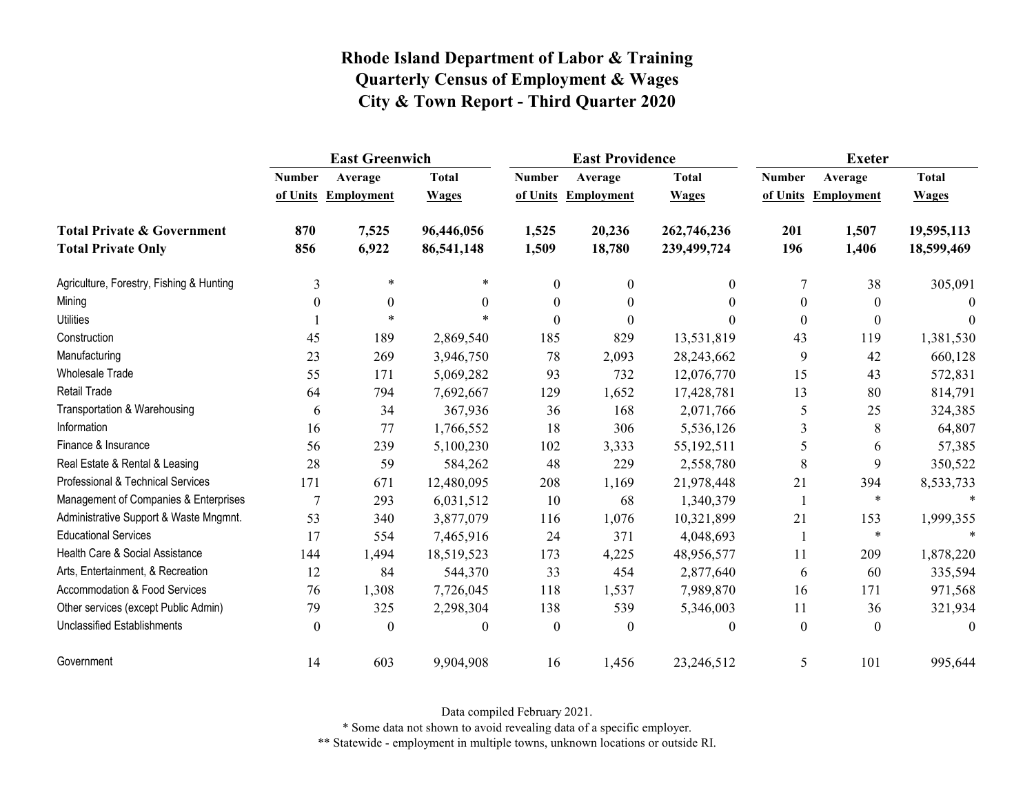|                                                                    | <b>East Greenwich</b>     |                              |                              |                           | <b>East Providence</b>       |                              | <b>Exeter</b> |                                |                              |
|--------------------------------------------------------------------|---------------------------|------------------------------|------------------------------|---------------------------|------------------------------|------------------------------|---------------|--------------------------------|------------------------------|
|                                                                    | <b>Number</b><br>of Units | Average<br><b>Employment</b> | <b>Total</b><br><b>Wages</b> | <b>Number</b><br>of Units | Average<br><b>Employment</b> | <b>Total</b><br><b>Wages</b> | <b>Number</b> | Average<br>of Units Employment | <b>Total</b><br><b>Wages</b> |
| <b>Total Private &amp; Government</b><br><b>Total Private Only</b> | 870<br>856                | 7,525<br>6,922               | 96,446,056<br>86,541,148     | 1,525<br>1,509            | 20,236<br>18,780             | 262,746,236<br>239,499,724   | 201<br>196    | 1,507<br>1,406                 | 19,595,113<br>18,599,469     |
| Agriculture, Forestry, Fishing & Hunting                           | 3                         | $\ast$                       | *                            | $\boldsymbol{0}$          | $\theta$                     | $\mathbf{0}$                 | 7             | 38                             | 305,091                      |
| Mining                                                             | $\theta$                  | $\mathbf{0}$                 | $\Omega$                     | $\theta$                  | $\theta$                     | $\Omega$                     | $\theta$      | $\mathbf{0}$                   | $\Omega$                     |
| <b>Utilities</b>                                                   |                           | $\ast$                       |                              | $\theta$                  | $\theta$                     |                              | $\theta$      | $\boldsymbol{0}$               | $\Omega$                     |
| Construction                                                       | 45                        | 189                          | 2,869,540                    | 185                       | 829                          | 13,531,819                   | 43            | 119                            | 1,381,530                    |
| Manufacturing                                                      | 23                        | 269                          | 3,946,750                    | 78                        | 2,093                        | 28,243,662                   | 9             | 42                             | 660,128                      |
| Wholesale Trade                                                    | 55                        | 171                          | 5,069,282                    | 93                        | 732                          | 12,076,770                   | 15            | 43                             | 572,831                      |
| <b>Retail Trade</b>                                                | 64                        | 794                          | 7,692,667                    | 129                       | 1,652                        | 17,428,781                   | 13            | 80                             | 814,791                      |
| Transportation & Warehousing                                       | 6                         | 34                           | 367,936                      | 36                        | 168                          | 2,071,766                    | 5             | 25                             | 324,385                      |
| Information                                                        | 16                        | 77                           | 1,766,552                    | 18                        | 306                          | 5,536,126                    | 3             | 8                              | 64,807                       |
| Finance & Insurance                                                | 56                        | 239                          | 5,100,230                    | 102                       | 3,333                        | 55,192,511                   | 5             | 6                              | 57,385                       |
| Real Estate & Rental & Leasing                                     | 28                        | 59                           | 584,262                      | 48                        | 229                          | 2,558,780                    | 8             | 9                              | 350,522                      |
| Professional & Technical Services                                  | 171                       | 671                          | 12,480,095                   | 208                       | 1,169                        | 21,978,448                   | 21            | 394                            | 8,533,733                    |
| Management of Companies & Enterprises                              | 7                         | 293                          | 6,031,512                    | 10                        | 68                           | 1,340,379                    | 1             | $\ast$                         | $\ast$                       |
| Administrative Support & Waste Mngmnt.                             | 53                        | 340                          | 3,877,079                    | 116                       | 1,076                        | 10,321,899                   | 21            | 153                            | 1,999,355                    |
| <b>Educational Services</b>                                        | 17                        | 554                          | 7,465,916                    | 24                        | 371                          | 4,048,693                    | -1            | $\ast$                         |                              |
| Health Care & Social Assistance                                    | 144                       | 1,494                        | 18,519,523                   | 173                       | 4,225                        | 48,956,577                   | 11            | 209                            | 1,878,220                    |
| Arts, Entertainment, & Recreation                                  | 12                        | 84                           | 544,370                      | 33                        | 454                          | 2,877,640                    | 6             | 60                             | 335,594                      |
| <b>Accommodation &amp; Food Services</b>                           | 76                        | 1,308                        | 7,726,045                    | 118                       | 1,537                        | 7,989,870                    | 16            | 171                            | 971,568                      |
| Other services (except Public Admin)                               | 79                        | 325                          | 2,298,304                    | 138                       | 539                          | 5,346,003                    | 11            | 36                             | 321,934                      |
| <b>Unclassified Establishments</b>                                 | $\theta$                  | $\theta$                     | $\theta$                     | $\theta$                  | $\theta$                     | $\theta$                     | $\theta$      | $\theta$                       | $\theta$                     |
| Government                                                         | 14                        | 603                          | 9,904,908                    | 16                        | 1,456                        | 23,246,512                   | 5             | 101                            | 995,644                      |

Data compiled February 2021.

\* Some data not shown to avoid revealing data of a specific employer.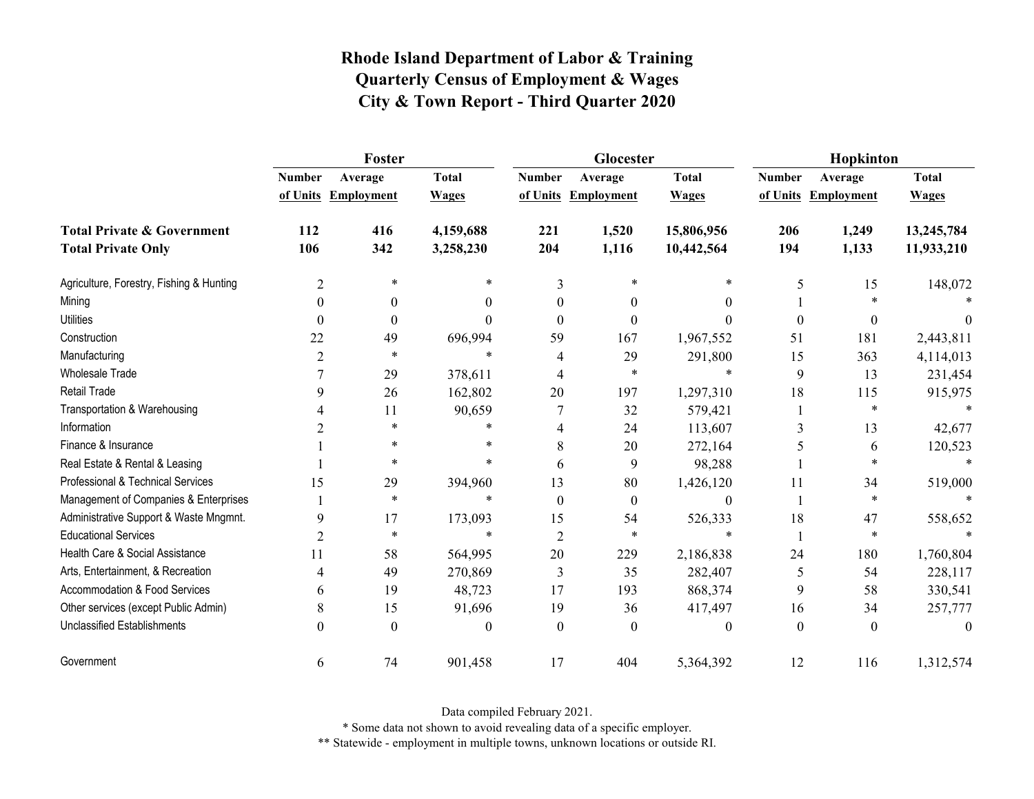|                                          |                | Foster              |              |                | Glocester           |              | Hopkinton     |                     |              |  |
|------------------------------------------|----------------|---------------------|--------------|----------------|---------------------|--------------|---------------|---------------------|--------------|--|
|                                          | <b>Number</b>  | Average             | <b>Total</b> | <b>Number</b>  | Average             | <b>Total</b> | <b>Number</b> | Average             | <b>Total</b> |  |
|                                          |                | of Units Employment | <b>Wages</b> |                | of Units Employment | <b>Wages</b> |               | of Units Employment | <b>Wages</b> |  |
| <b>Total Private &amp; Government</b>    | 112            | 416                 | 4,159,688    | 221            | 1,520               | 15,806,956   | 206           | 1,249               | 13,245,784   |  |
| <b>Total Private Only</b>                | 106            | 342                 | 3,258,230    | 204            | 1,116               | 10,442,564   | 194           | 1,133               | 11,933,210   |  |
| Agriculture, Forestry, Fishing & Hunting | 2              | *                   | $\ast$       | 3              | *                   | $\ast$       | 5             | 15                  | 148,072      |  |
| Mining                                   | $\Omega$       | $\theta$            | 0            | $\Omega$       | $\Omega$            | $\theta$     |               | $\ast$              |              |  |
| <b>Utilities</b>                         | $\Omega$       | $\theta$            | 0            | $\Omega$       | 0                   | 0            | $\Omega$      | $\theta$            | $\theta$     |  |
| Construction                             | 22             | 49                  | 696,994      | 59             | 167                 | 1,967,552    | 51            | 181                 | 2,443,811    |  |
| Manufacturing                            | $\overline{2}$ | $\ast$              | $\ast$       | 4              | 29                  | 291,800      | 15            | 363                 | 4,114,013    |  |
| <b>Wholesale Trade</b>                   |                | 29                  | 378,611      | 4              | $\ast$              | $\ast$       | 9             | 13                  | 231,454      |  |
| <b>Retail Trade</b>                      | 9              | 26                  | 162,802      | 20             | 197                 | 1,297,310    | 18            | 115                 | 915,975      |  |
| Transportation & Warehousing             | 4              | 11                  | 90,659       |                | 32                  | 579,421      |               | $\ast$              |              |  |
| Information                              | 2              | $\star$             | $\ast$       | 4              | 24                  | 113,607      | 3             | 13                  | 42,677       |  |
| Finance & Insurance                      |                | *                   | *            | 8              | 20                  | 272,164      | 5             | 6                   | 120,523      |  |
| Real Estate & Rental & Leasing           |                | $\ast$              | $\ast$       | 6              | 9                   | 98,288       |               | $\ast$              |              |  |
| Professional & Technical Services        | 15             | 29                  | 394,960      | 13             | 80                  | 1,426,120    | 11            | 34                  | 519,000      |  |
| Management of Companies & Enterprises    |                | $\ast$              | $\ast$       | $\theta$       | $\theta$            | $\theta$     |               | $\ast$              | $\ast$       |  |
| Administrative Support & Waste Mngmnt.   | 9              | 17                  | 173,093      | 15             | 54                  | 526,333      | 18            | 47                  | 558,652      |  |
| <b>Educational Services</b>              | 2              | $\ast$              | $\ast$       | $\overline{c}$ | $\ast$              | $\ast$       |               | $\ast$              |              |  |
| Health Care & Social Assistance          | 11             | 58                  | 564,995      | 20             | 229                 | 2,186,838    | 24            | 180                 | 1,760,804    |  |
| Arts, Entertainment, & Recreation        | 4              | 49                  | 270,869      | 3              | 35                  | 282,407      | 5             | 54                  | 228,117      |  |
| Accommodation & Food Services            | 6              | 19                  | 48,723       | 17             | 193                 | 868,374      | 9             | 58                  | 330,541      |  |
| Other services (except Public Admin)     | 8              | 15                  | 91,696       | 19             | 36                  | 417,497      | 16            | 34                  | 257,777      |  |
| Unclassified Establishments              | $\Omega$       | $\theta$            | 0            | $\Omega$       | $\Omega$            | $\theta$     | $\theta$      | $\theta$            | $\theta$     |  |
| Government                               | 6              | 74                  | 901,458      | 17             | 404                 | 5,364,392    | 12            | 116                 | 1,312,574    |  |

Data compiled February 2021.

\* Some data not shown to avoid revealing data of a specific employer.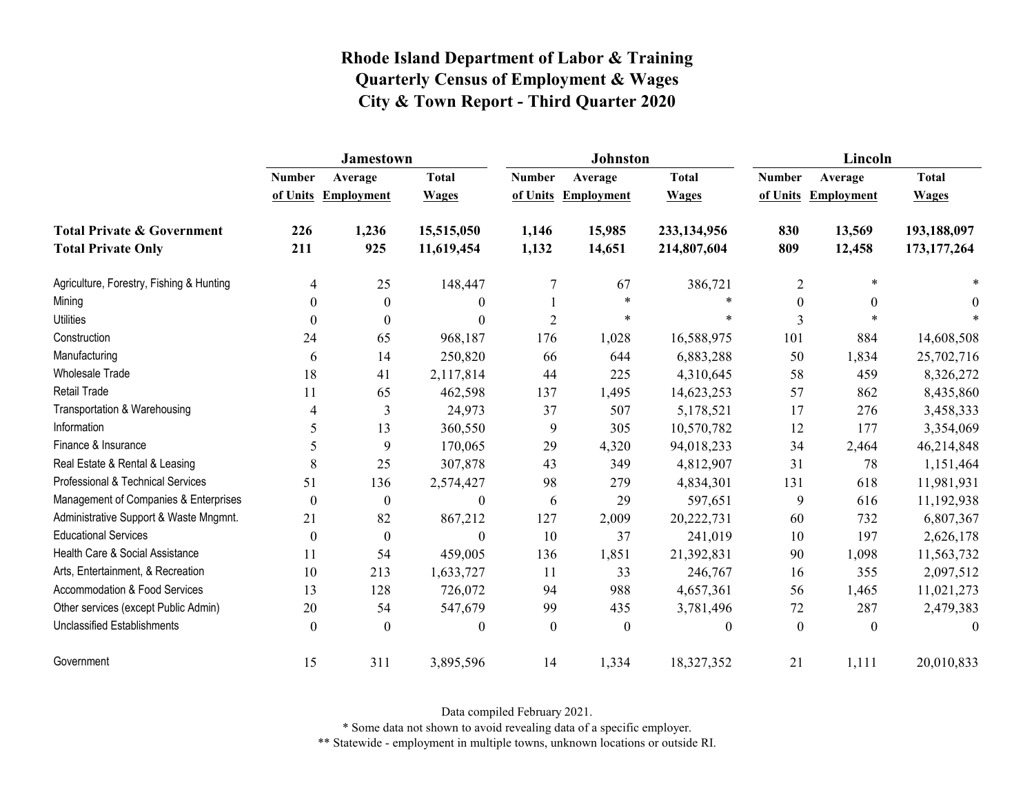|                                                                    | <b>Jamestown</b> |                                |                              |                           | <b>Johnston</b>              |                              | Lincoln          |                                |                              |
|--------------------------------------------------------------------|------------------|--------------------------------|------------------------------|---------------------------|------------------------------|------------------------------|------------------|--------------------------------|------------------------------|
|                                                                    | <b>Number</b>    | Average<br>of Units Employment | <b>Total</b><br><b>Wages</b> | <b>Number</b><br>of Units | Average<br><b>Employment</b> | <b>Total</b><br><b>Wages</b> | <b>Number</b>    | Average<br>of Units Employment | <b>Total</b><br><b>Wages</b> |
| <b>Total Private &amp; Government</b><br><b>Total Private Only</b> | 226<br>211       | 1,236<br>925                   | 15,515,050<br>11,619,454     | 1,146<br>1,132            | 15,985<br>14,651             | 233,134,956<br>214,807,604   | 830<br>809       | 13,569<br>12,458               | 193,188,097<br>173, 177, 264 |
| Agriculture, Forestry, Fishing & Hunting                           | 4                | 25                             | 148,447                      | 7                         | 67                           | 386,721                      | 2                | *                              |                              |
| Mining                                                             | $\theta$         | $\mathbf{0}$                   | $\boldsymbol{0}$             |                           | $\ast$                       | $\ast$                       | $\boldsymbol{0}$ | $\theta$                       | 0                            |
| <b>Utilities</b>                                                   | 0                | $\Omega$                       | $\theta$                     | $\overline{2}$            | $\ast$                       | $\ast$                       | 3                | $*$                            |                              |
| Construction                                                       | 24               | 65                             | 968,187                      | 176                       | 1,028                        | 16,588,975                   | 101              | 884                            | 14,608,508                   |
| Manufacturing                                                      | 6                | 14                             | 250,820                      | 66                        | 644                          | 6,883,288                    | 50               | 1,834                          | 25,702,716                   |
| Wholesale Trade                                                    | 18               | 41                             | 2,117,814                    | 44                        | 225                          | 4,310,645                    | 58               | 459                            | 8,326,272                    |
| <b>Retail Trade</b>                                                | 11               | 65                             | 462,598                      | 137                       | 1,495                        | 14,623,253                   | 57               | 862                            | 8,435,860                    |
| Transportation & Warehousing                                       | 4                | 3                              | 24,973                       | 37                        | 507                          | 5,178,521                    | 17               | 276                            | 3,458,333                    |
| Information                                                        | 5                | 13                             | 360,550                      | 9                         | 305                          | 10,570,782                   | 12               | 177                            | 3,354,069                    |
| Finance & Insurance                                                | 5                | 9                              | 170,065                      | 29                        | 4,320                        | 94,018,233                   | 34               | 2,464                          | 46,214,848                   |
| Real Estate & Rental & Leasing                                     | 8                | 25                             | 307,878                      | 43                        | 349                          | 4,812,907                    | 31               | 78                             | 1,151,464                    |
| Professional & Technical Services                                  | 51               | 136                            | 2,574,427                    | 98                        | 279                          | 4,834,301                    | 131              | 618                            | 11,981,931                   |
| Management of Companies & Enterprises                              | $\theta$         | $\theta$                       | $\theta$                     | 6                         | 29                           | 597,651                      | 9                | 616                            | 11,192,938                   |
| Administrative Support & Waste Mngmnt.                             | 21               | 82                             | 867,212                      | 127                       | 2,009                        | 20,222,731                   | 60               | 732                            | 6,807,367                    |
| <b>Educational Services</b>                                        | $\boldsymbol{0}$ | $\mathbf{0}$                   | $\boldsymbol{0}$             | 10                        | 37                           | 241,019                      | 10               | 197                            | 2,626,178                    |
| Health Care & Social Assistance                                    | 11               | 54                             | 459,005                      | 136                       | 1,851                        | 21,392,831                   | 90               | 1,098                          | 11,563,732                   |
| Arts, Entertainment, & Recreation                                  | 10               | 213                            | 1,633,727                    | 11                        | 33                           | 246,767                      | 16               | 355                            | 2,097,512                    |
| <b>Accommodation &amp; Food Services</b>                           | 13               | 128                            | 726,072                      | 94                        | 988                          | 4,657,361                    | 56               | 1,465                          | 11,021,273                   |
| Other services (except Public Admin)                               | 20               | 54                             | 547,679                      | 99                        | 435                          | 3,781,496                    | 72               | 287                            | 2,479,383                    |
| <b>Unclassified Establishments</b>                                 | $\theta$         | $\Omega$                       | $\boldsymbol{0}$             | $\boldsymbol{0}$          | $\boldsymbol{0}$             | $\mathbf{0}$                 | $\theta$         | $\theta$                       | $\theta$                     |
| Government                                                         | 15               | 311                            | 3,895,596                    | 14                        | 1,334                        | 18,327,352                   | 21               | 1,111                          | 20,010,833                   |

Data compiled February 2021.

\* Some data not shown to avoid revealing data of a specific employer.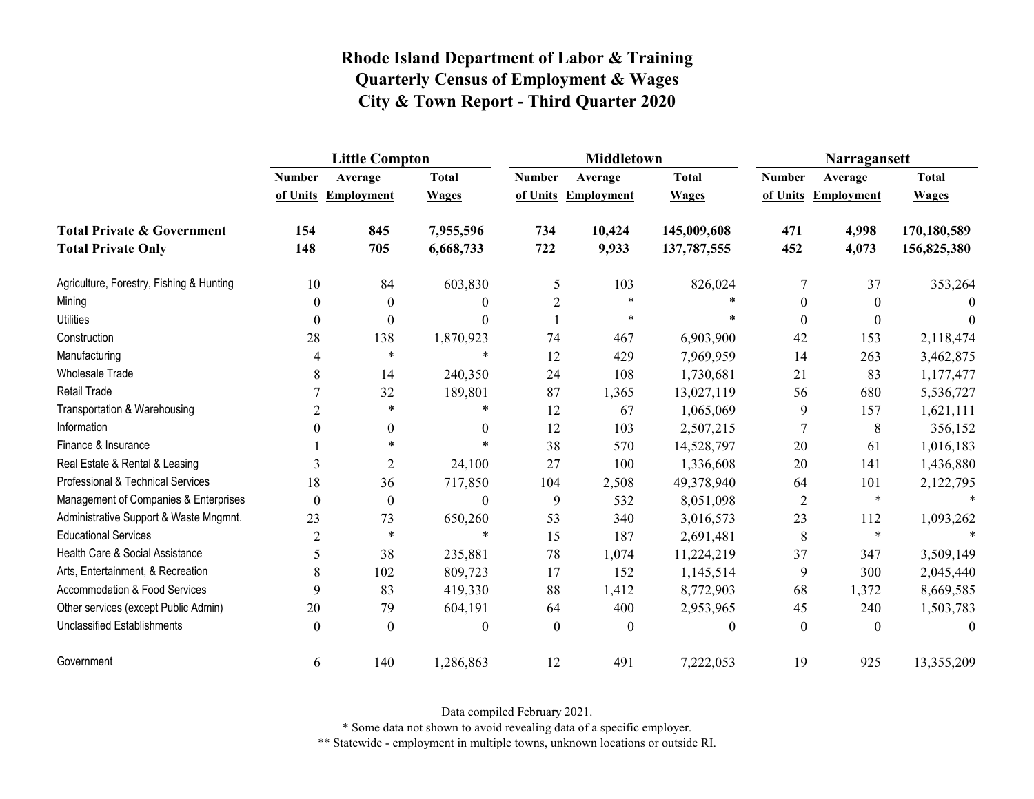|                                          | <b>Little Compton</b> |                   |              |                | <b>Middletown</b>   |              | Narragansett   |                     |              |
|------------------------------------------|-----------------------|-------------------|--------------|----------------|---------------------|--------------|----------------|---------------------|--------------|
|                                          | <b>Number</b>         | Average           | <b>Total</b> | <b>Number</b>  | Average             | <b>Total</b> | <b>Number</b>  | Average             | <b>Total</b> |
|                                          | of Units              | <b>Employment</b> | <b>Wages</b> |                | of Units Employment | <b>Wages</b> |                | of Units Employment | <b>Wages</b> |
| <b>Total Private &amp; Government</b>    | 154                   | 845               | 7,955,596    | 734            | 10,424              | 145,009,608  | 471            | 4,998               | 170,180,589  |
| <b>Total Private Only</b>                | 148                   | 705               | 6,668,733    | 722            | 9,933               | 137,787,555  | 452            | 4,073               | 156,825,380  |
| Agriculture, Forestry, Fishing & Hunting | 10                    | 84                | 603,830      | 5              | 103                 | 826,024      | 7              | 37                  | 353,264      |
| Mining                                   | $\theta$              | $\boldsymbol{0}$  | $\Omega$     | $\overline{c}$ | $\ast$              |              | $\theta$       | $\mathbf{0}$        | $\theta$     |
| <b>Utilities</b>                         | $\theta$              | $\boldsymbol{0}$  | $\Omega$     |                | $\ast$              | $\ast$       | $\Omega$       | $\theta$            | 0            |
| Construction                             | 28                    | 138               | 1,870,923    | 74             | 467                 | 6,903,900    | 42             | 153                 | 2,118,474    |
| Manufacturing                            | 4                     | $\star$           | $\ast$       | 12             | 429                 | 7,969,959    | 14             | 263                 | 3,462,875    |
| Wholesale Trade                          | 8                     | 14                | 240,350      | 24             | 108                 | 1,730,681    | 21             | 83                  | 1,177,477    |
| <b>Retail Trade</b>                      |                       | 32                | 189,801      | 87             | 1,365               | 13,027,119   | 56             | 680                 | 5,536,727    |
| Transportation & Warehousing             | 2                     | $\ast$            | $\ast$       | 12             | 67                  | 1,065,069    | 9              | 157                 | 1,621,111    |
| Information                              | $\theta$              | $\boldsymbol{0}$  | $\theta$     | 12             | 103                 | 2,507,215    | $\overline{7}$ | 8                   | 356,152      |
| Finance & Insurance                      |                       | $\ast$            | $\ast$       | 38             | 570                 | 14,528,797   | 20             | 61                  | 1,016,183    |
| Real Estate & Rental & Leasing           | 3                     | $\overline{2}$    | 24,100       | 27             | 100                 | 1,336,608    | 20             | 141                 | 1,436,880    |
| Professional & Technical Services        | 18                    | 36                | 717,850      | 104            | 2,508               | 49,378,940   | 64             | 101                 | 2,122,795    |
| Management of Companies & Enterprises    | $\theta$              | $\boldsymbol{0}$  | $\theta$     | 9              | 532                 | 8,051,098    | $\overline{2}$ | $\ast$              | $\ast$       |
| Administrative Support & Waste Mngmnt.   | 23                    | 73                | 650,260      | 53             | 340                 | 3,016,573    | 23             | 112                 | 1,093,262    |
| <b>Educational Services</b>              | $\overline{2}$        | $\ast$            | $\ast$       | 15             | 187                 | 2,691,481    | 8              | $\ast$              |              |
| Health Care & Social Assistance          | 5                     | 38                | 235,881      | 78             | 1,074               | 11,224,219   | 37             | 347                 | 3,509,149    |
| Arts, Entertainment, & Recreation        | 8                     | 102               | 809,723      | 17             | 152                 | 1,145,514    | 9              | 300                 | 2,045,440    |
| <b>Accommodation &amp; Food Services</b> | 9                     | 83                | 419,330      | 88             | 1,412               | 8,772,903    | 68             | 1,372               | 8,669,585    |
| Other services (except Public Admin)     | 20                    | 79                | 604,191      | 64             | 400                 | 2,953,965    | 45             | 240                 | 1,503,783    |
| <b>Unclassified Establishments</b>       | $\theta$              | $\theta$          | $\theta$     | $\theta$       | $\theta$            | $\theta$     | $\theta$       | $\theta$            | $\theta$     |
| Government                               | 6                     | 140               | 1,286,863    | 12             | 491                 | 7,222,053    | 19             | 925                 | 13,355,209   |

Data compiled February 2021.

\* Some data not shown to avoid revealing data of a specific employer.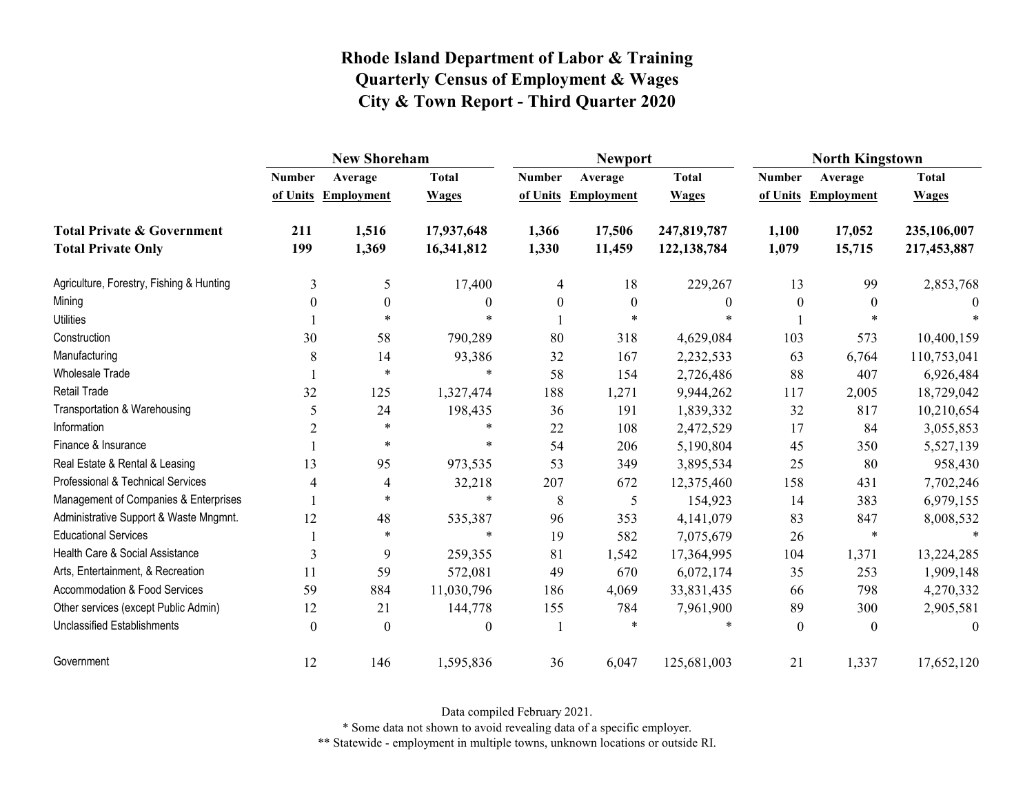|                                                                    | <b>New Shoreham</b> |                                |                              |                           | <b>Newport</b>               |                              | <b>North Kingstown</b>    |                              |                              |
|--------------------------------------------------------------------|---------------------|--------------------------------|------------------------------|---------------------------|------------------------------|------------------------------|---------------------------|------------------------------|------------------------------|
|                                                                    | <b>Number</b>       | Average<br>of Units Employment | <b>Total</b><br><b>Wages</b> | <b>Number</b><br>of Units | Average<br><b>Employment</b> | <b>Total</b><br><b>Wages</b> | <b>Number</b><br>of Units | Average<br><b>Employment</b> | <b>Total</b><br><b>Wages</b> |
| <b>Total Private &amp; Government</b><br><b>Total Private Only</b> | 211<br>199          | 1,516<br>1,369                 | 17,937,648<br>16,341,812     | 1,366<br>1,330            | 17,506<br>11,459             | 247,819,787<br>122, 138, 784 | 1,100<br>1,079            | 17,052<br>15,715             | 235,106,007<br>217,453,887   |
| Agriculture, Forestry, Fishing & Hunting                           | 3                   | 5                              | 17,400                       | 4                         | 18                           | 229,267                      | 13                        | 99                           | 2,853,768                    |
| Mining                                                             | 0                   | $\mathbf{0}$                   | 0                            | $\boldsymbol{0}$          | $\boldsymbol{0}$             | $\boldsymbol{0}$             | $\boldsymbol{0}$          | $\overline{0}$               | $\theta$                     |
| <b>Utilities</b>                                                   |                     | $\ast$                         | $\star$                      |                           | $\star$                      |                              |                           | $\ast$                       |                              |
| Construction                                                       | 30                  | 58                             | 790,289                      | 80                        | 318                          | 4,629,084                    | 103                       | 573                          | 10,400,159                   |
| Manufacturing                                                      | 8                   | 14                             | 93,386                       | 32                        | 167                          | 2,232,533                    | 63                        | 6,764                        | 110,753,041                  |
| <b>Wholesale Trade</b>                                             |                     | $\ast$                         | $\star$                      | 58                        | 154                          | 2,726,486                    | 88                        | 407                          | 6,926,484                    |
| Retail Trade                                                       | 32                  | 125                            | 1,327,474                    | 188                       | 1,271                        | 9,944,262                    | 117                       | 2,005                        | 18,729,042                   |
| Transportation & Warehousing                                       | 5                   | 24                             | 198,435                      | 36                        | 191                          | 1,839,332                    | 32                        | 817                          | 10,210,654                   |
| Information                                                        | $\overline{c}$      | $\ast$                         | $\ast$                       | 22                        | 108                          | 2,472,529                    | 17                        | 84                           | 3,055,853                    |
| Finance & Insurance                                                |                     | $\ast$                         | $\ast$                       | 54                        | 206                          | 5,190,804                    | 45                        | 350                          | 5,527,139                    |
| Real Estate & Rental & Leasing                                     | 13                  | 95                             | 973,535                      | 53                        | 349                          | 3,895,534                    | 25                        | 80                           | 958,430                      |
| Professional & Technical Services                                  | 4                   | 4                              | 32,218                       | 207                       | 672                          | 12,375,460                   | 158                       | 431                          | 7,702,246                    |
| Management of Companies & Enterprises                              |                     | $\ast$                         | $\star$                      | 8                         | 5                            | 154,923                      | 14                        | 383                          | 6,979,155                    |
| Administrative Support & Waste Mngmnt.                             | 12                  | 48                             | 535,387                      | 96                        | 353                          | 4,141,079                    | 83                        | 847                          | 8,008,532                    |
| <b>Educational Services</b>                                        |                     | $\ast$                         | $\ast$                       | 19                        | 582                          | 7,075,679                    | 26                        | $\ast$                       |                              |
| Health Care & Social Assistance                                    | 3                   | 9                              | 259,355                      | 81                        | 1,542                        | 17,364,995                   | 104                       | 1,371                        | 13,224,285                   |
| Arts, Entertainment, & Recreation                                  | 11                  | 59                             | 572,081                      | 49                        | 670                          | 6,072,174                    | 35                        | 253                          | 1,909,148                    |
| <b>Accommodation &amp; Food Services</b>                           | 59                  | 884                            | 11,030,796                   | 186                       | 4,069                        | 33,831,435                   | 66                        | 798                          | 4,270,332                    |
| Other services (except Public Admin)                               | 12                  | 21                             | 144,778                      | 155                       | 784                          | 7,961,900                    | 89                        | 300                          | 2,905,581                    |
| <b>Unclassified Establishments</b>                                 | $\theta$            | $\Omega$                       | $\theta$                     | $\mathbf{1}$              |                              |                              | $\theta$                  | $\theta$                     | $\theta$                     |
| Government                                                         | 12                  | 146                            | 1,595,836                    | 36                        | 6,047                        | 125,681,003                  | 21                        | 1,337                        | 17,652,120                   |

Data compiled February 2021.

\* Some data not shown to avoid revealing data of a specific employer.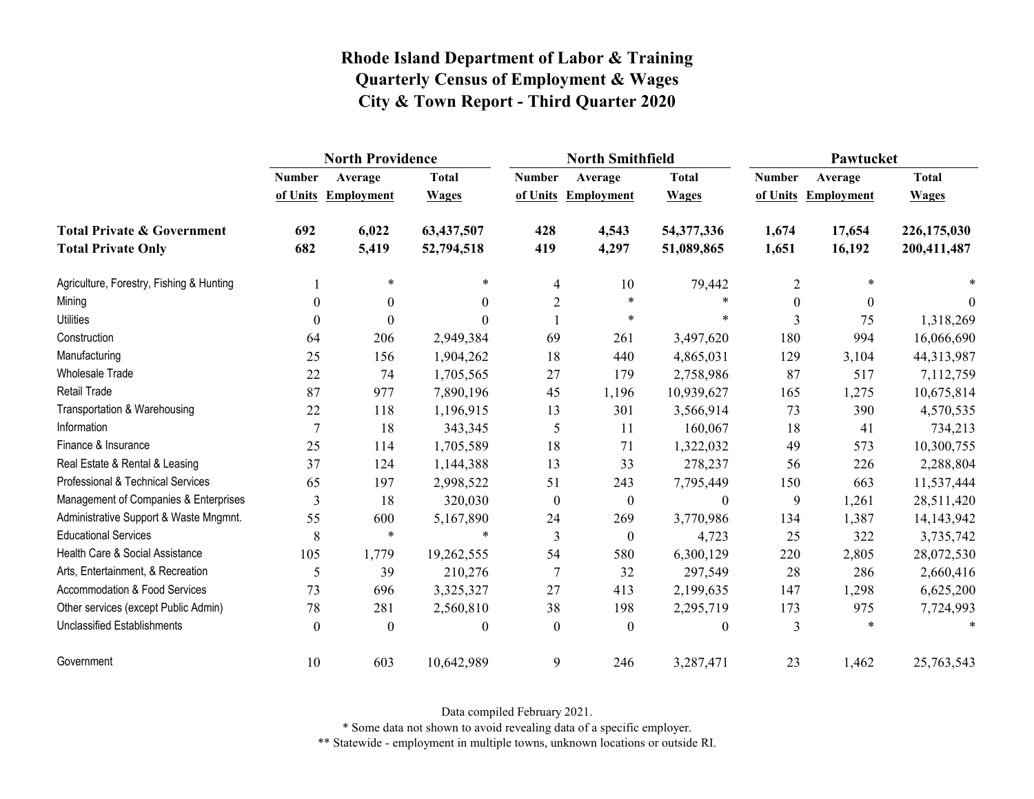|                                          | <b>North Providence</b> |                     |                  |                  | <b>North Smithfield</b> |                  | Pawtucket     |                     |              |
|------------------------------------------|-------------------------|---------------------|------------------|------------------|-------------------------|------------------|---------------|---------------------|--------------|
|                                          | <b>Number</b>           | Average             | <b>Total</b>     | <b>Number</b>    | Average                 | <b>Total</b>     | <b>Number</b> | Average             | <b>Total</b> |
|                                          |                         | of Units Employment | <b>Wages</b>     |                  | of Units Employment     | <b>Wages</b>     |               | of Units Employment | <b>Wages</b> |
| <b>Total Private &amp; Government</b>    | 692                     | 6,022               | 63,437,507       | 428              | 4,543                   | 54,377,336       | 1,674         | 17,654              | 226,175,030  |
| <b>Total Private Only</b>                | 682                     | 5,419               | 52,794,518       | 419              | 4,297                   | 51,089,865       | 1,651         | 16,192              | 200,411,487  |
| Agriculture, Forestry, Fishing & Hunting |                         | $\ast$              | $\ast$           | $\overline{4}$   | 10                      | 79,442           | 2             | $\ast$              |              |
| Mining                                   | $\theta$                | $\theta$            | $\theta$         | $\overline{2}$   | $\ast$                  | $\ast$           | $\theta$      | $\theta$            | $\theta$     |
| <b>Utilities</b>                         | $\theta$                | $\Omega$            | 0                |                  | $\star$                 | $\ast$           | 3             | 75                  | 1,318,269    |
| Construction                             | 64                      | 206                 | 2,949,384        | 69               | 261                     | 3,497,620        | 180           | 994                 | 16,066,690   |
| Manufacturing                            | 25                      | 156                 | 1,904,262        | 18               | 440                     | 4,865,031        | 129           | 3,104               | 44,313,987   |
| Wholesale Trade                          | 22                      | 74                  | 1,705,565        | 27               | 179                     | 2,758,986        | 87            | 517                 | 7,112,759    |
| Retail Trade                             | 87                      | 977                 | 7,890,196        | 45               | 1,196                   | 10,939,627       | 165           | 1,275               | 10,675,814   |
| Transportation & Warehousing             | 22                      | 118                 | 1,196,915        | 13               | 301                     | 3,566,914        | 73            | 390                 | 4,570,535    |
| Information                              | $\overline{7}$          | 18                  | 343,345          | 5                | 11                      | 160,067          | 18            | 41                  | 734,213      |
| Finance & Insurance                      | 25                      | 114                 | 1,705,589        | 18               | 71                      | 1,322,032        | 49            | 573                 | 10,300,755   |
| Real Estate & Rental & Leasing           | 37                      | 124                 | 1,144,388        | 13               | 33                      | 278,237          | 56            | 226                 | 2,288,804    |
| Professional & Technical Services        | 65                      | 197                 | 2,998,522        | 51               | 243                     | 7,795,449        | 150           | 663                 | 11,537,444   |
| Management of Companies & Enterprises    | 3                       | 18                  | 320,030          | $\boldsymbol{0}$ | $\boldsymbol{0}$        | $\boldsymbol{0}$ | 9             | 1,261               | 28,511,420   |
| Administrative Support & Waste Mngmnt.   | 55                      | 600                 | 5,167,890        | 24               | 269                     | 3,770,986        | 134           | 1,387               | 14,143,942   |
| <b>Educational Services</b>              | 8                       | $\ast$              |                  | 3                | $\boldsymbol{0}$        | 4,723            | 25            | 322                 | 3,735,742    |
| Health Care & Social Assistance          | 105                     | 1,779               | 19,262,555       | 54               | 580                     | 6,300,129        | 220           | 2,805               | 28,072,530   |
| Arts, Entertainment, & Recreation        | 5                       | 39                  | 210,276          | $\tau$           | 32                      | 297,549          | 28            | 286                 | 2,660,416    |
| <b>Accommodation &amp; Food Services</b> | 73                      | 696                 | 3,325,327        | 27               | 413                     | 2,199,635        | 147           | 1,298               | 6,625,200    |
| Other services (except Public Admin)     | 78                      | 281                 | 2,560,810        | 38               | 198                     | 2,295,719        | 173           | 975                 | 7,724,993    |
| <b>Unclassified Establishments</b>       | $\theta$                | $\theta$            | $\boldsymbol{0}$ | $\theta$         | $\mathbf{0}$            | $\boldsymbol{0}$ | 3             | $\ast$              | $\ast$       |
| Government                               | 10                      | 603                 | 10,642,989       | 9                | 246                     | 3,287,471        | 23            | 1,462               | 25,763,543   |

Data compiled February 2021.

\* Some data not shown to avoid revealing data of a specific employer.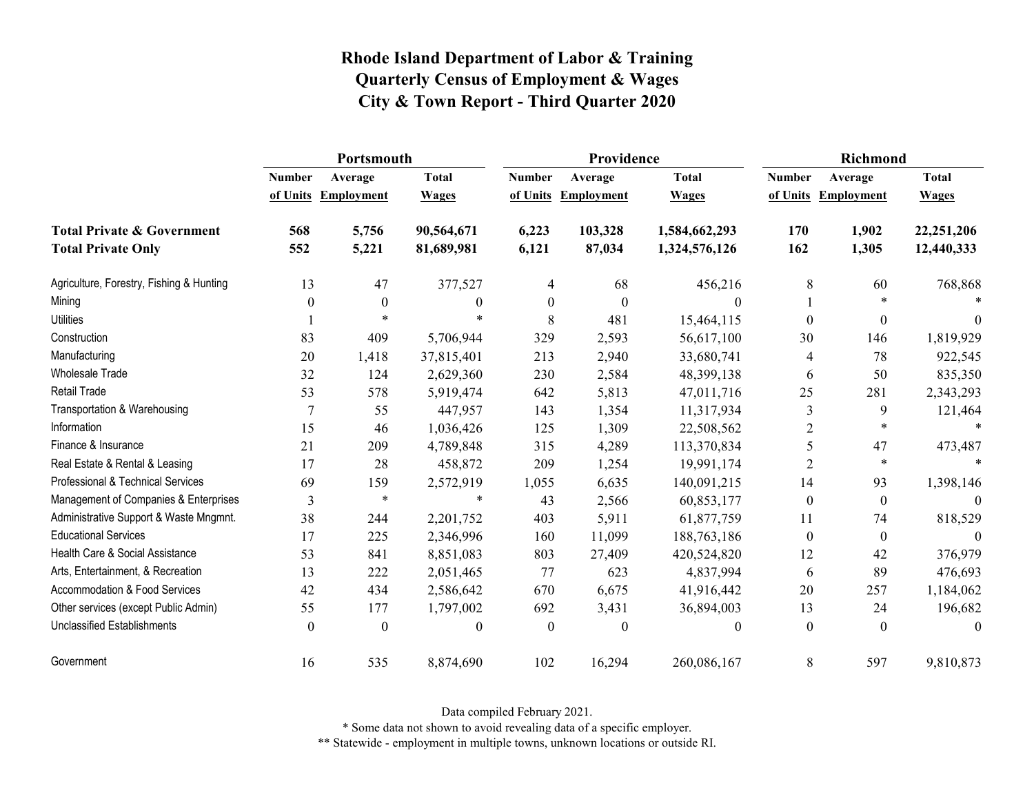|                                          | Portsmouth    |                     |                  | Providence       |                   | <b>Richmond</b> |                  |                     |              |
|------------------------------------------|---------------|---------------------|------------------|------------------|-------------------|-----------------|------------------|---------------------|--------------|
|                                          | <b>Number</b> | Average             | <b>Total</b>     | <b>Number</b>    | Average           | <b>Total</b>    | <b>Number</b>    | Average             | <b>Total</b> |
|                                          |               | of Units Employment | <b>Wages</b>     | of Units         | <b>Employment</b> | <b>Wages</b>    |                  | of Units Employment | <b>Wages</b> |
| <b>Total Private &amp; Government</b>    | 568           | 5,756               | 90,564,671       | 6,223            | 103,328           | 1,584,662,293   | 170              | 1,902               | 22,251,206   |
| <b>Total Private Only</b>                | 552           | 5,221               | 81,689,981       | 6,121            | 87,034            | 1,324,576,126   | 162              | 1,305               | 12,440,333   |
| Agriculture, Forestry, Fishing & Hunting | 13            | 47                  | 377,527          | 4                | 68                | 456,216         | 8                | 60                  | 768,868      |
| Mining                                   | $\theta$      | $\boldsymbol{0}$    | $\boldsymbol{0}$ | $\boldsymbol{0}$ | $\boldsymbol{0}$  | 0               |                  | $\ast$              |              |
| <b>Utilities</b>                         |               | $\ast$              |                  | 8                | 481               | 15,464,115      | $\Omega$         | $\boldsymbol{0}$    | $\theta$     |
| Construction                             | 83            | 409                 | 5,706,944        | 329              | 2,593             | 56,617,100      | 30               | 146                 | 1,819,929    |
| Manufacturing                            | 20            | 1,418               | 37,815,401       | 213              | 2,940             | 33,680,741      | 4                | 78                  | 922,545      |
| <b>Wholesale Trade</b>                   | 32            | 124                 | 2,629,360        | 230              | 2,584             | 48,399,138      | 6                | 50                  | 835,350      |
| Retail Trade                             | 53            | 578                 | 5,919,474        | 642              | 5,813             | 47,011,716      | 25               | 281                 | 2,343,293    |
| Transportation & Warehousing             |               | 55                  | 447,957          | 143              | 1,354             | 11,317,934      | 3                | 9                   | 121,464      |
| Information                              | 15            | 46                  | 1,036,426        | 125              | 1,309             | 22,508,562      | $\overline{2}$   | $\ast$              |              |
| Finance & Insurance                      | 21            | 209                 | 4,789,848        | 315              | 4,289             | 113,370,834     | 5                | 47                  | 473,487      |
| Real Estate & Rental & Leasing           | 17            | 28                  | 458,872          | 209              | 1,254             | 19,991,174      | 2                | $\ast$              |              |
| Professional & Technical Services        | 69            | 159                 | 2,572,919        | 1,055            | 6,635             | 140,091,215     | 14               | 93                  | 1,398,146    |
| Management of Companies & Enterprises    | 3             | $\ast$              | $\ast$           | 43               | 2,566             | 60,853,177      | $\boldsymbol{0}$ | $\boldsymbol{0}$    | $\Omega$     |
| Administrative Support & Waste Mngmnt.   | 38            | 244                 | 2,201,752        | 403              | 5,911             | 61,877,759      | 11               | 74                  | 818,529      |
| <b>Educational Services</b>              | 17            | 225                 | 2,346,996        | 160              | 11,099            | 188,763,186     | $\boldsymbol{0}$ | $\boldsymbol{0}$    | $\Omega$     |
| Health Care & Social Assistance          | 53            | 841                 | 8,851,083        | 803              | 27,409            | 420,524,820     | 12               | 42                  | 376,979      |
| Arts, Entertainment, & Recreation        | 13            | 222                 | 2,051,465        | 77               | 623               | 4,837,994       | 6                | 89                  | 476,693      |
| Accommodation & Food Services            | 42            | 434                 | 2,586,642        | 670              | 6,675             | 41,916,442      | 20               | 257                 | 1,184,062    |
| Other services (except Public Admin)     | 55            | 177                 | 1,797,002        | 692              | 3,431             | 36,894,003      | 13               | 24                  | 196,682      |
| Unclassified Establishments              | $\theta$      | $\theta$            | $\theta$         | $\theta$         | $\Omega$          | $\theta$        | $\theta$         | $\theta$            | $\theta$     |
| Government                               | 16            | 535                 | 8,874,690        | 102              | 16,294            | 260,086,167     | 8                | 597                 | 9,810,873    |

Data compiled February 2021.

\* Some data not shown to avoid revealing data of a specific employer.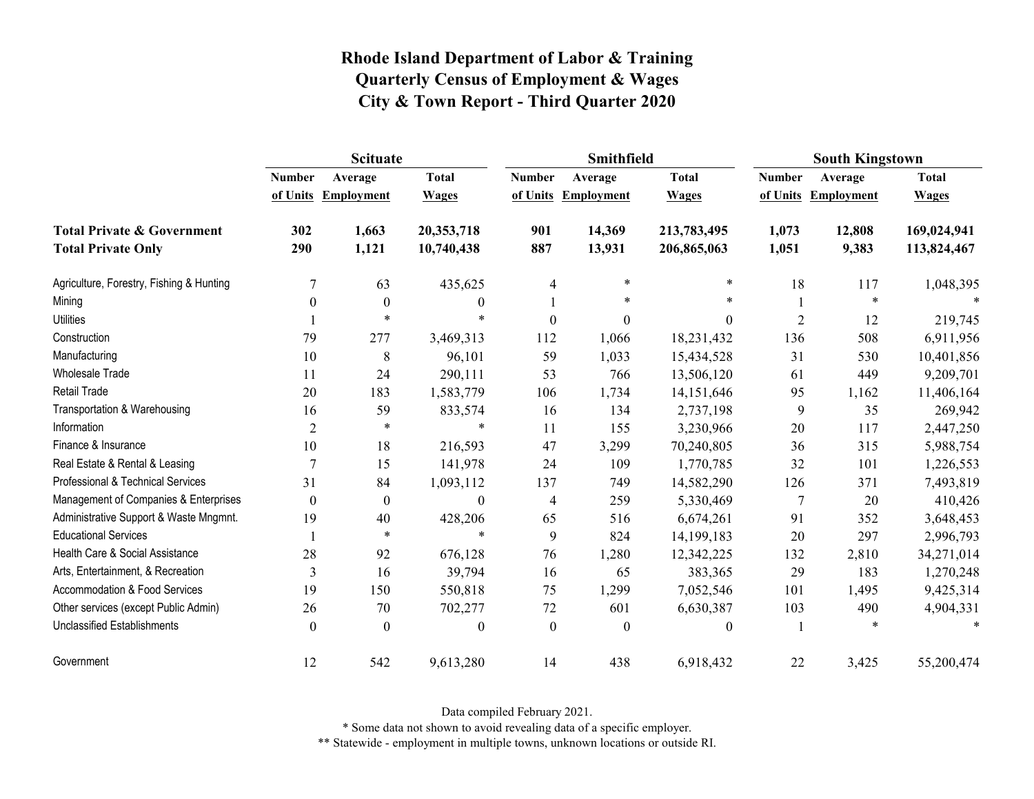|                                                                    | <b>Scituate</b> |                                |                              |                           | <b>Smithfield</b>            |                              | <b>South Kingstown</b> |                                |                              |
|--------------------------------------------------------------------|-----------------|--------------------------------|------------------------------|---------------------------|------------------------------|------------------------------|------------------------|--------------------------------|------------------------------|
|                                                                    | <b>Number</b>   | Average<br>of Units Employment | <b>Total</b><br><b>Wages</b> | <b>Number</b><br>of Units | Average<br><b>Employment</b> | <b>Total</b><br><b>Wages</b> | <b>Number</b>          | Average<br>of Units Employment | <b>Total</b><br><b>Wages</b> |
| <b>Total Private &amp; Government</b><br><b>Total Private Only</b> | 302<br>290      | 1,663<br>1,121                 | 20,353,718<br>10,740,438     | 901<br>887                | 14,369<br>13,931             | 213,783,495<br>206,865,063   | 1,073<br>1,051         | 12,808<br>9,383                | 169,024,941<br>113,824,467   |
| Agriculture, Forestry, Fishing & Hunting                           | 7               | 63                             | 435,625                      | 4                         | $\ast$                       | $\ast$                       | 18                     | 117                            | 1,048,395                    |
| Mining                                                             | 0               | $\overline{0}$                 | $\boldsymbol{0}$             |                           | $\ast$                       | $\ast$                       |                        | $\ast$                         | $\ast$                       |
| <b>Utilities</b>                                                   |                 | $\ast$                         | $\ast$                       | $\mathbf{0}$              | $\theta$                     | $\boldsymbol{0}$             | $\overline{2}$         | 12                             | 219,745                      |
| Construction                                                       | 79              | 277                            | 3,469,313                    | 112                       | 1,066                        | 18,231,432                   | 136                    | 508                            | 6,911,956                    |
| Manufacturing                                                      | 10              | 8                              | 96,101                       | 59                        | 1,033                        | 15,434,528                   | 31                     | 530                            | 10,401,856                   |
| Wholesale Trade                                                    | 11              | 24                             | 290,111                      | 53                        | 766                          | 13,506,120                   | 61                     | 449                            | 9,209,701                    |
| <b>Retail Trade</b>                                                | 20              | 183                            | 1,583,779                    | 106                       | 1,734                        | 14,151,646                   | 95                     | 1,162                          | 11,406,164                   |
| Transportation & Warehousing                                       | 16              | 59                             | 833,574                      | 16                        | 134                          | 2,737,198                    | 9                      | 35                             | 269,942                      |
| Information                                                        | $\overline{2}$  | $\ast$                         | $\ast$                       | 11                        | 155                          | 3,230,966                    | 20                     | 117                            | 2,447,250                    |
| Finance & Insurance                                                | 10              | 18                             | 216,593                      | 47                        | 3,299                        | 70,240,805                   | 36                     | 315                            | 5,988,754                    |
| Real Estate & Rental & Leasing                                     | 7               | 15                             | 141,978                      | 24                        | 109                          | 1,770,785                    | 32                     | 101                            | 1,226,553                    |
| Professional & Technical Services                                  | 31              | 84                             | 1,093,112                    | 137                       | 749                          | 14,582,290                   | 126                    | 371                            | 7,493,819                    |
| Management of Companies & Enterprises                              | $\theta$        | $\theta$                       | $\theta$                     | 4                         | 259                          | 5,330,469                    | 7                      | 20                             | 410,426                      |
| Administrative Support & Waste Mngmnt.                             | 19              | 40                             | 428,206                      | 65                        | 516                          | 6,674,261                    | 91                     | 352                            | 3,648,453                    |
| <b>Educational Services</b>                                        |                 | $\ast$                         | $\ast$                       | 9                         | 824                          | 14,199,183                   | 20                     | 297                            | 2,996,793                    |
| Health Care & Social Assistance                                    | 28              | 92                             | 676,128                      | 76                        | 1,280                        | 12,342,225                   | 132                    | 2,810                          | 34,271,014                   |
| Arts, Entertainment, & Recreation                                  | 3               | 16                             | 39,794                       | 16                        | 65                           | 383,365                      | 29                     | 183                            | 1,270,248                    |
| <b>Accommodation &amp; Food Services</b>                           | 19              | 150                            | 550,818                      | 75                        | 1,299                        | 7,052,546                    | 101                    | 1,495                          | 9,425,314                    |
| Other services (except Public Admin)                               | 26              | 70                             | 702,277                      | 72                        | 601                          | 6,630,387                    | 103                    | 490                            | 4,904,331                    |
| <b>Unclassified Establishments</b>                                 | $\theta$        | $\Omega$                       | $\boldsymbol{0}$             | $\boldsymbol{0}$          | $\boldsymbol{0}$             | $\boldsymbol{0}$             |                        | *                              | $\ast$                       |
| Government                                                         | 12              | 542                            | 9,613,280                    | 14                        | 438                          | 6,918,432                    | 22                     | 3,425                          | 55,200,474                   |

Data compiled February 2021.

\* Some data not shown to avoid revealing data of a specific employer.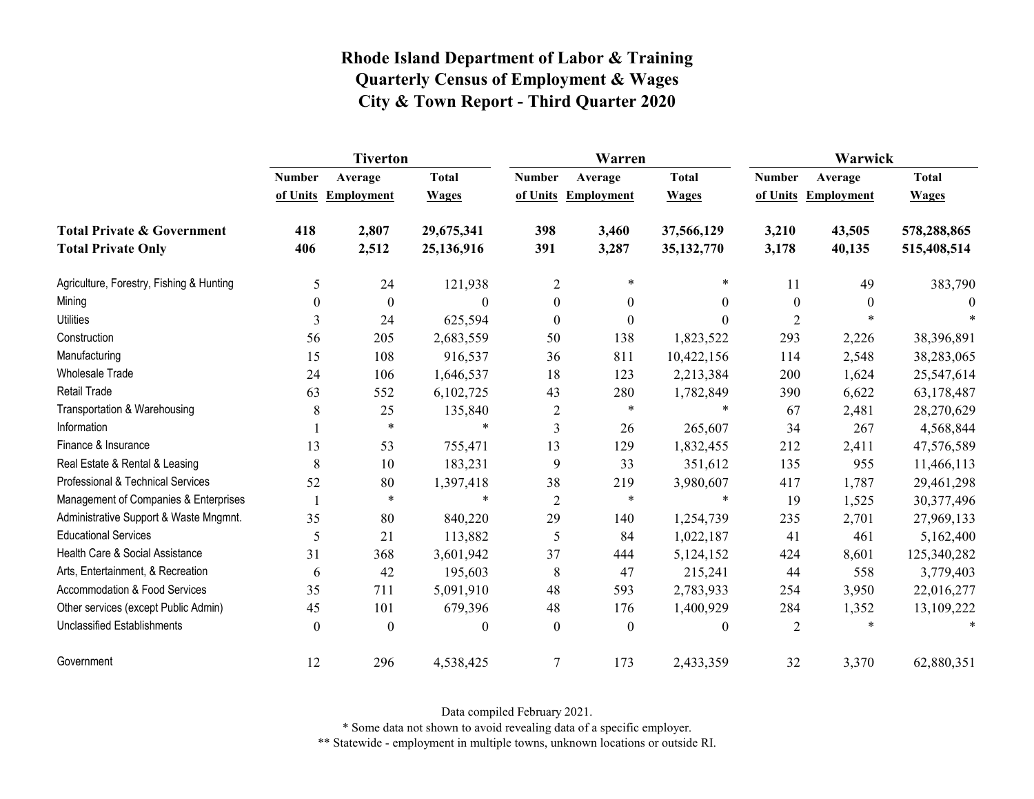|                                                                    | <b>Tiverton</b>           |                              |                              |                  | Warren                         |                              | Warwick                   |                              |                              |  |
|--------------------------------------------------------------------|---------------------------|------------------------------|------------------------------|------------------|--------------------------------|------------------------------|---------------------------|------------------------------|------------------------------|--|
|                                                                    | <b>Number</b><br>of Units | Average<br><b>Employment</b> | <b>Total</b><br><b>Wages</b> | <b>Number</b>    | Average<br>of Units Employment | <b>Total</b><br><b>Wages</b> | <b>Number</b><br>of Units | Average<br><b>Employment</b> | <b>Total</b><br><b>Wages</b> |  |
| <b>Total Private &amp; Government</b><br><b>Total Private Only</b> | 418<br>406                | 2,807<br>2,512               | 29,675,341<br>25,136,916     | 398<br>391       | 3,460<br>3,287                 | 37,566,129<br>35,132,770     | 3,210<br>3,178            | 43,505<br>40,135             | 578,288,865<br>515,408,514   |  |
| Agriculture, Forestry, Fishing & Hunting                           | 5                         | 24                           | 121,938                      | 2                | $\star$                        | $\ast$                       | 11                        | 49                           | 383,790                      |  |
| Mining                                                             | $\theta$                  | $\boldsymbol{0}$             | $\theta$                     | $\boldsymbol{0}$ | $\mathbf{0}$                   | $\overline{0}$               | $\boldsymbol{0}$          | $\theta$                     | $\Omega$                     |  |
| <b>Utilities</b>                                                   | 3                         | 24                           | 625,594                      | $\theta$         | $\boldsymbol{0}$               | $\theta$                     | $\overline{2}$            | $\ast$                       |                              |  |
| Construction                                                       | 56                        | 205                          | 2,683,559                    | 50               | 138                            | 1,823,522                    | 293                       | 2,226                        | 38,396,891                   |  |
| Manufacturing                                                      | 15                        | 108                          | 916,537                      | 36               | 811                            | 10,422,156                   | 114                       | 2,548                        | 38,283,065                   |  |
| Wholesale Trade                                                    | 24                        | 106                          | 1,646,537                    | 18               | 123                            | 2,213,384                    | 200                       | 1,624                        | 25,547,614                   |  |
| <b>Retail Trade</b>                                                | 63                        | 552                          | 6,102,725                    | 43               | 280                            | 1,782,849                    | 390                       | 6,622                        | 63,178,487                   |  |
| Transportation & Warehousing                                       | 8                         | 25                           | 135,840                      | 2                | $\star$                        |                              | 67                        | 2,481                        | 28,270,629                   |  |
| Information                                                        |                           | $\ast$                       | $\ast$                       | $\mathfrak{Z}$   | 26                             | 265,607                      | 34                        | 267                          | 4,568,844                    |  |
| Finance & Insurance                                                | 13                        | 53                           | 755,471                      | 13               | 129                            | 1,832,455                    | 212                       | 2,411                        | 47,576,589                   |  |
| Real Estate & Rental & Leasing                                     | 8                         | 10                           | 183,231                      | 9                | 33                             | 351,612                      | 135                       | 955                          | 11,466,113                   |  |
| Professional & Technical Services                                  | 52                        | 80                           | 1,397,418                    | 38               | 219                            | 3,980,607                    | 417                       | 1,787                        | 29,461,298                   |  |
| Management of Companies & Enterprises                              |                           | $\ast$                       | $\ast$                       | $\overline{2}$   | $\ast$                         | $\star$                      | 19                        | 1,525                        | 30,377,496                   |  |
| Administrative Support & Waste Mngmnt.                             | 35                        | 80                           | 840,220                      | 29               | 140                            | 1,254,739                    | 235                       | 2,701                        | 27,969,133                   |  |
| <b>Educational Services</b>                                        | 5                         | 21                           | 113,882                      | 5                | 84                             | 1,022,187                    | 41                        | 461                          | 5,162,400                    |  |
| Health Care & Social Assistance                                    | 31                        | 368                          | 3,601,942                    | 37               | 444                            | 5,124,152                    | 424                       | 8,601                        | 125,340,282                  |  |
| Arts, Entertainment, & Recreation                                  | 6                         | 42                           | 195,603                      | 8                | 47                             | 215,241                      | 44                        | 558                          | 3,779,403                    |  |
| <b>Accommodation &amp; Food Services</b>                           | 35                        | 711                          | 5,091,910                    | 48               | 593                            | 2,783,933                    | 254                       | 3,950                        | 22,016,277                   |  |
| Other services (except Public Admin)                               | 45                        | 101                          | 679,396                      | 48               | 176                            | 1,400,929                    | 284                       | 1,352                        | 13,109,222                   |  |
| <b>Unclassified Establishments</b>                                 | $\theta$                  | $\theta$                     | $\theta$                     | $\theta$         | $\mathbf{0}$                   | $\overline{0}$               | 2                         | $\ast$                       | $\ast$                       |  |
| Government                                                         | 12                        | 296                          | 4,538,425                    | $\overline{7}$   | 173                            | 2,433,359                    | 32                        | 3,370                        | 62,880,351                   |  |

Data compiled February 2021.

\* Some data not shown to avoid revealing data of a specific employer.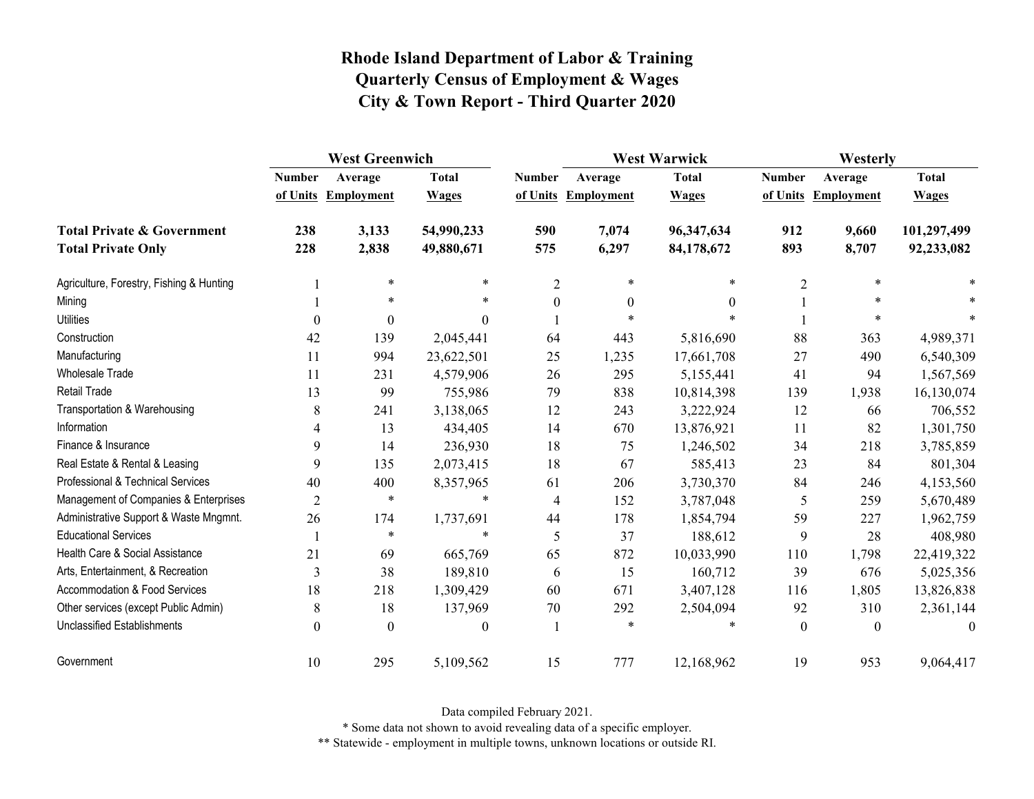|                                          | <b>West Greenwich</b> |                   |              |                  | <b>West Warwick</b> |              | Westerly      |                     |              |
|------------------------------------------|-----------------------|-------------------|--------------|------------------|---------------------|--------------|---------------|---------------------|--------------|
|                                          | <b>Number</b>         | Average           | <b>Total</b> | <b>Number</b>    | Average             | <b>Total</b> | <b>Number</b> | Average             | <b>Total</b> |
|                                          | of Units              | <b>Employment</b> | <b>Wages</b> |                  | of Units Employment | <b>Wages</b> |               | of Units Employment | <b>Wages</b> |
| <b>Total Private &amp; Government</b>    | 238                   | 3,133             | 54,990,233   | 590              | 7,074               | 96,347,634   | 912           | 9,660               | 101,297,499  |
| <b>Total Private Only</b>                | 228                   | 2,838             | 49,880,671   | 575              | 6,297               | 84,178,672   | 893           | 8,707               | 92,233,082   |
| Agriculture, Forestry, Fishing & Hunting |                       | $\ast$            | $\ast$       | $\overline{2}$   | $\ast$              | $\ast$       | 2             | $\ast$              |              |
| Mining                                   |                       | $\ast$            | $\ast$       | $\boldsymbol{0}$ | $\boldsymbol{0}$    | $\theta$     |               | $\ast$              |              |
| <b>Utilities</b>                         | $\theta$              | $\boldsymbol{0}$  | $\Omega$     |                  | $\ast$              |              |               | $\ast$              |              |
| Construction                             | 42                    | 139               | 2,045,441    | 64               | 443                 | 5,816,690    | 88            | 363                 | 4,989,371    |
| Manufacturing                            | 11                    | 994               | 23,622,501   | 25               | 1,235               | 17,661,708   | 27            | 490                 | 6,540,309    |
| Wholesale Trade                          | 11                    | 231               | 4,579,906    | 26               | 295                 | 5,155,441    | 41            | 94                  | 1,567,569    |
| <b>Retail Trade</b>                      | 13                    | 99                | 755,986      | 79               | 838                 | 10,814,398   | 139           | 1,938               | 16,130,074   |
| Transportation & Warehousing             | 8                     | 241               | 3,138,065    | 12               | 243                 | 3,222,924    | 12            | 66                  | 706,552      |
| Information                              | 4                     | 13                | 434,405      | 14               | 670                 | 13,876,921   | 11            | 82                  | 1,301,750    |
| Finance & Insurance                      | 9                     | 14                | 236,930      | 18               | 75                  | 1,246,502    | 34            | 218                 | 3,785,859    |
| Real Estate & Rental & Leasing           | 9                     | 135               | 2,073,415    | 18               | 67                  | 585,413      | 23            | 84                  | 801,304      |
| Professional & Technical Services        | 40                    | 400               | 8,357,965    | 61               | 206                 | 3,730,370    | 84            | 246                 | 4,153,560    |
| Management of Companies & Enterprises    | $\overline{2}$        | $\ast$            | $\ast$       | $\overline{4}$   | 152                 | 3,787,048    | 5             | 259                 | 5,670,489    |
| Administrative Support & Waste Mngmnt.   | 26                    | 174               | 1,737,691    | 44               | 178                 | 1,854,794    | 59            | 227                 | 1,962,759    |
| <b>Educational Services</b>              |                       | $\ast$            | $\ast$       | 5                | 37                  | 188,612      | 9             | 28                  | 408,980      |
| Health Care & Social Assistance          | 21                    | 69                | 665,769      | 65               | 872                 | 10,033,990   | 110           | 1,798               | 22,419,322   |
| Arts, Entertainment, & Recreation        | 3                     | 38                | 189,810      | 6                | 15                  | 160,712      | 39            | 676                 | 5,025,356    |
| <b>Accommodation &amp; Food Services</b> | 18                    | 218               | 1,309,429    | 60               | 671                 | 3,407,128    | 116           | 1,805               | 13,826,838   |
| Other services (except Public Admin)     | 8                     | 18                | 137,969      | 70               | 292                 | 2,504,094    | 92            | 310                 | 2,361,144    |
| <b>Unclassified Establishments</b>       | $\theta$              | $\theta$          | $\Omega$     |                  | $\ast$              |              | $\theta$      | $\theta$            | $\theta$     |
| Government                               | $10\,$                | 295               | 5,109,562    | 15               | 777                 | 12,168,962   | 19            | 953                 | 9,064,417    |

Data compiled February 2021.

\* Some data not shown to avoid revealing data of a specific employer.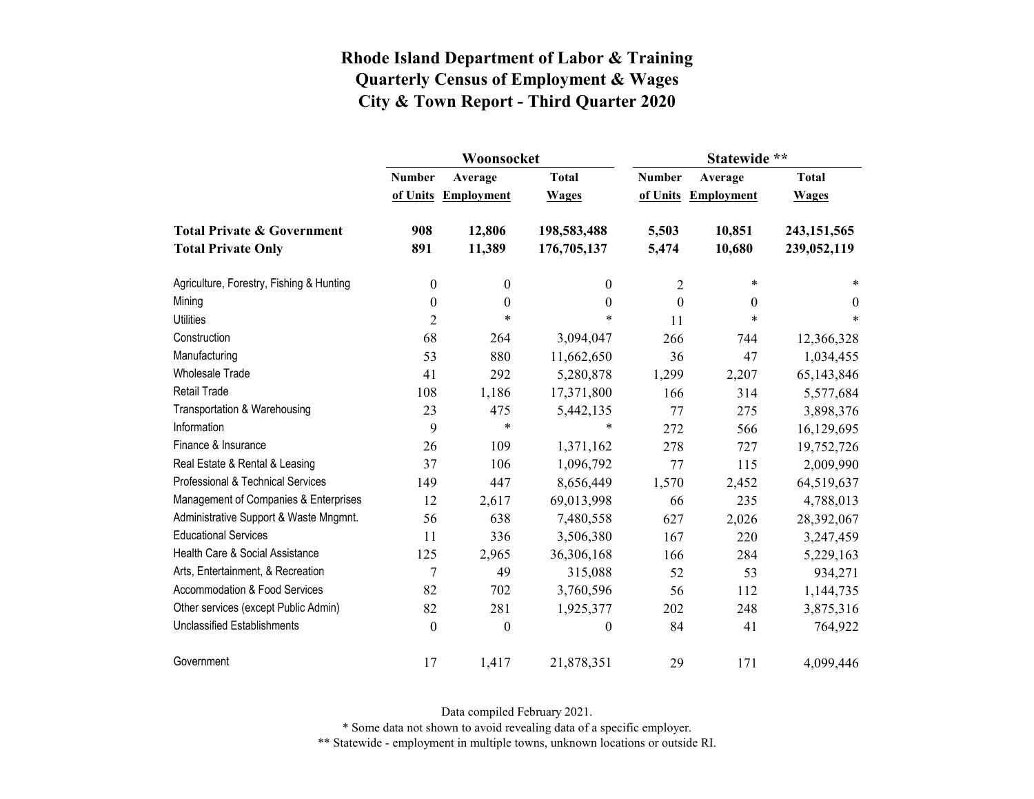|                                          |                  | Woonsocket        |                  | Statewide **     |                     |                  |  |
|------------------------------------------|------------------|-------------------|------------------|------------------|---------------------|------------------|--|
|                                          | <b>Number</b>    | Average           | <b>Total</b>     | <b>Number</b>    | Average             | <b>Total</b>     |  |
|                                          | of Units         | <b>Employment</b> | <b>Wages</b>     |                  | of Units Employment | <b>Wages</b>     |  |
| <b>Total Private &amp; Government</b>    | 908              | 12,806            | 198,583,488      | 5,503            | 10,851              | 243, 151, 565    |  |
| <b>Total Private Only</b>                | 891              | 11,389            | 176,705,137      | 5,474            | 10,680              | 239,052,119      |  |
| Agriculture, Forestry, Fishing & Hunting | $\boldsymbol{0}$ | $\boldsymbol{0}$  | $\theta$         | 2                | $\ast$              | *                |  |
| Mining                                   | $\boldsymbol{0}$ | $\boldsymbol{0}$  | $\boldsymbol{0}$ | $\boldsymbol{0}$ | $\theta$            | $\boldsymbol{0}$ |  |
| <b>Utilities</b>                         | $\overline{2}$   | $\ast$            | $\ast$           | 11               | $\ast$              | $\star$          |  |
| Construction                             | 68               | 264               | 3,094,047        | 266              | 744                 | 12,366,328       |  |
| Manufacturing                            | 53               | 880               | 11,662,650       | 36               | 47                  | 1,034,455        |  |
| <b>Wholesale Trade</b>                   | 41               | 292               | 5,280,878        | 1,299            | 2,207               | 65,143,846       |  |
| <b>Retail Trade</b>                      | 108              | 1,186             | 17,371,800       | 166              | 314                 | 5,577,684        |  |
| Transportation & Warehousing             | 23               | 475               | 5,442,135        | 77               | 275                 | 3,898,376        |  |
| Information                              | 9                | $\ast$            | $\ast$           | 272              | 566                 | 16,129,695       |  |
| Finance & Insurance                      | 26               | 109               | 1,371,162        | 278              | 727                 | 19,752,726       |  |
| Real Estate & Rental & Leasing           | 37               | 106               | 1,096,792        | 77               | 115                 | 2,009,990        |  |
| Professional & Technical Services        | 149              | 447               | 8,656,449        | 1,570            | 2,452               | 64,519,637       |  |
| Management of Companies & Enterprises    | 12               | 2,617             | 69,013,998       | 66               | 235                 | 4,788,013        |  |
| Administrative Support & Waste Mngmnt.   | 56               | 638               | 7,480,558        | 627              | 2,026               | 28,392,067       |  |
| <b>Educational Services</b>              | 11               | 336               | 3,506,380        | 167              | 220                 | 3,247,459        |  |
| Health Care & Social Assistance          | 125              | 2,965             | 36,306,168       | 166              | 284                 | 5,229,163        |  |
| Arts, Entertainment, & Recreation        | $\overline{7}$   | 49                | 315,088          | 52               | 53                  | 934,271          |  |
| Accommodation & Food Services            | 82               | 702               | 3,760,596        | 56               | 112                 | 1,144,735        |  |
| Other services (except Public Admin)     | 82               | 281               | 1,925,377        | 202              | 248                 | 3,875,316        |  |
| <b>Unclassified Establishments</b>       | $\boldsymbol{0}$ | $\boldsymbol{0}$  | $\boldsymbol{0}$ | 84               | 41                  | 764,922          |  |
| Government                               | 17               | 1,417             | 21,878,351       | 29               | 171                 | 4,099,446        |  |

Data compiled February 2021.

\* Some data not shown to avoid revealing data of a specific employer.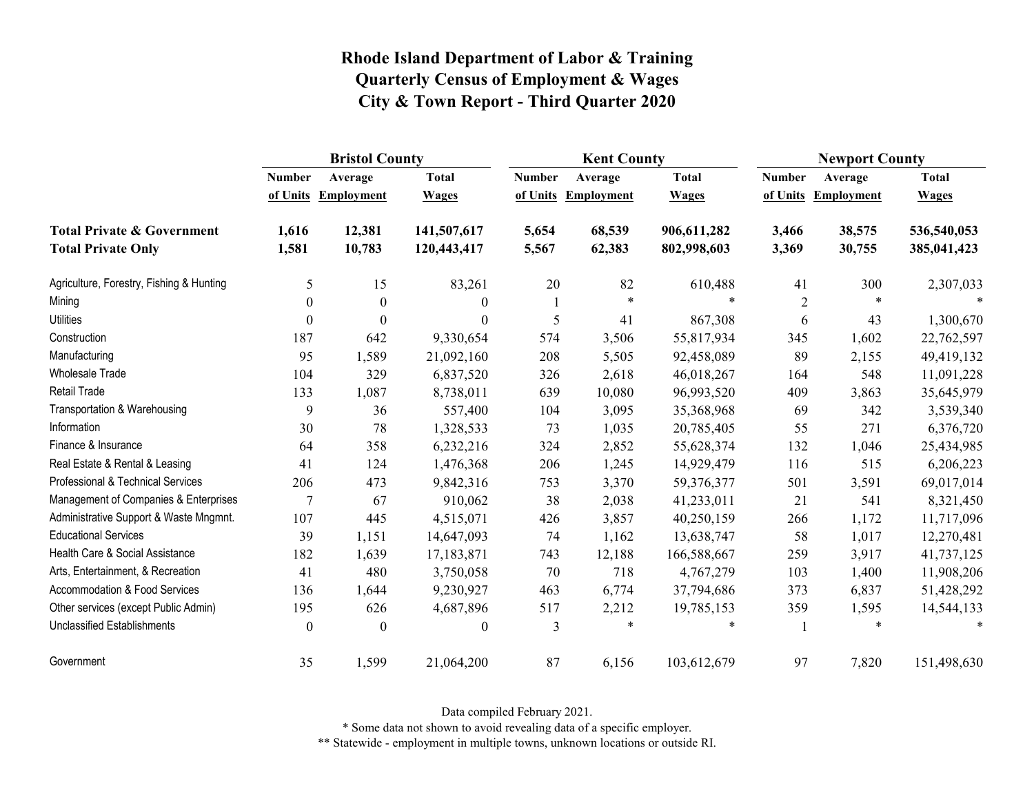|                                          | <b>Bristol County</b> |                   |              |               | <b>Kent County</b>  |              |                | <b>Newport County</b> |              |  |
|------------------------------------------|-----------------------|-------------------|--------------|---------------|---------------------|--------------|----------------|-----------------------|--------------|--|
|                                          | <b>Number</b>         | Average           | <b>Total</b> | <b>Number</b> | Average             | <b>Total</b> | <b>Number</b>  | Average               | <b>Total</b> |  |
|                                          | of Units              | <b>Employment</b> | <b>Wages</b> |               | of Units Employment | <b>Wages</b> | of Units       | <b>Employment</b>     | <b>Wages</b> |  |
| <b>Total Private &amp; Government</b>    | 1,616                 | 12,381            | 141,507,617  | 5,654         | 68,539              | 906,611,282  | 3,466          | 38,575                | 536,540,053  |  |
| <b>Total Private Only</b>                | 1,581                 | 10,783            | 120,443,417  | 5,567         | 62,383              | 802,998,603  | 3,369          | 30,755                | 385,041,423  |  |
| Agriculture, Forestry, Fishing & Hunting | 5                     | 15                | 83,261       | 20            | 82                  | 610,488      | 41             | 300                   | 2,307,033    |  |
| Mining                                   | $\boldsymbol{0}$      | $\boldsymbol{0}$  | $\theta$     | 1             | $\ast$              | $\ast$       | $\overline{2}$ | $\ast$                |              |  |
| <b>Utilities</b>                         | $\theta$              | $\boldsymbol{0}$  | $\theta$     | 5             | 41                  | 867,308      | 6              | 43                    | 1,300,670    |  |
| Construction                             | 187                   | 642               | 9,330,654    | 574           | 3,506               | 55,817,934   | 345            | 1,602                 | 22,762,597   |  |
| Manufacturing                            | 95                    | 1,589             | 21,092,160   | 208           | 5,505               | 92,458,089   | 89             | 2,155                 | 49,419,132   |  |
| <b>Wholesale Trade</b>                   | 104                   | 329               | 6,837,520    | 326           | 2,618               | 46,018,267   | 164            | 548                   | 11,091,228   |  |
| <b>Retail Trade</b>                      | 133                   | 1,087             | 8,738,011    | 639           | 10,080              | 96,993,520   | 409            | 3,863                 | 35,645,979   |  |
| Transportation & Warehousing             | 9                     | 36                | 557,400      | 104           | 3,095               | 35,368,968   | 69             | 342                   | 3,539,340    |  |
| Information                              | 30                    | 78                | 1,328,533    | 73            | 1,035               | 20,785,405   | 55             | 271                   | 6,376,720    |  |
| Finance & Insurance                      | 64                    | 358               | 6,232,216    | 324           | 2,852               | 55,628,374   | 132            | 1,046                 | 25,434,985   |  |
| Real Estate & Rental & Leasing           | 41                    | 124               | 1,476,368    | 206           | 1,245               | 14,929,479   | 116            | 515                   | 6,206,223    |  |
| Professional & Technical Services        | 206                   | 473               | 9,842,316    | 753           | 3,370               | 59,376,377   | 501            | 3,591                 | 69,017,014   |  |
| Management of Companies & Enterprises    | 7                     | 67                | 910,062      | 38            | 2,038               | 41,233,011   | 21             | 541                   | 8,321,450    |  |
| Administrative Support & Waste Mngmnt.   | 107                   | 445               | 4,515,071    | 426           | 3,857               | 40,250,159   | 266            | 1,172                 | 11,717,096   |  |
| <b>Educational Services</b>              | 39                    | 1,151             | 14,647,093   | 74            | 1,162               | 13,638,747   | 58             | 1,017                 | 12,270,481   |  |
| Health Care & Social Assistance          | 182                   | 1,639             | 17,183,871   | 743           | 12,188              | 166,588,667  | 259            | 3,917                 | 41,737,125   |  |
| Arts, Entertainment, & Recreation        | 41                    | 480               | 3,750,058    | 70            | 718                 | 4,767,279    | 103            | 1,400                 | 11,908,206   |  |
| <b>Accommodation &amp; Food Services</b> | 136                   | 1,644             | 9,230,927    | 463           | 6,774               | 37,794,686   | 373            | 6,837                 | 51,428,292   |  |
| Other services (except Public Admin)     | 195                   | 626               | 4,687,896    | 517           | 2,212               | 19,785,153   | 359            | 1,595                 | 14,544,133   |  |
| <b>Unclassified Establishments</b>       | $\mathbf{0}$          | $\boldsymbol{0}$  | $\theta$     | 3             | $\ast$              |              |                | *                     | $\ast$       |  |
| Government                               | 35                    | 1,599             | 21,064,200   | 87            | 6,156               | 103,612,679  | 97             | 7,820                 | 151,498,630  |  |

Data compiled February 2021.

\* Some data not shown to avoid revealing data of a specific employer.